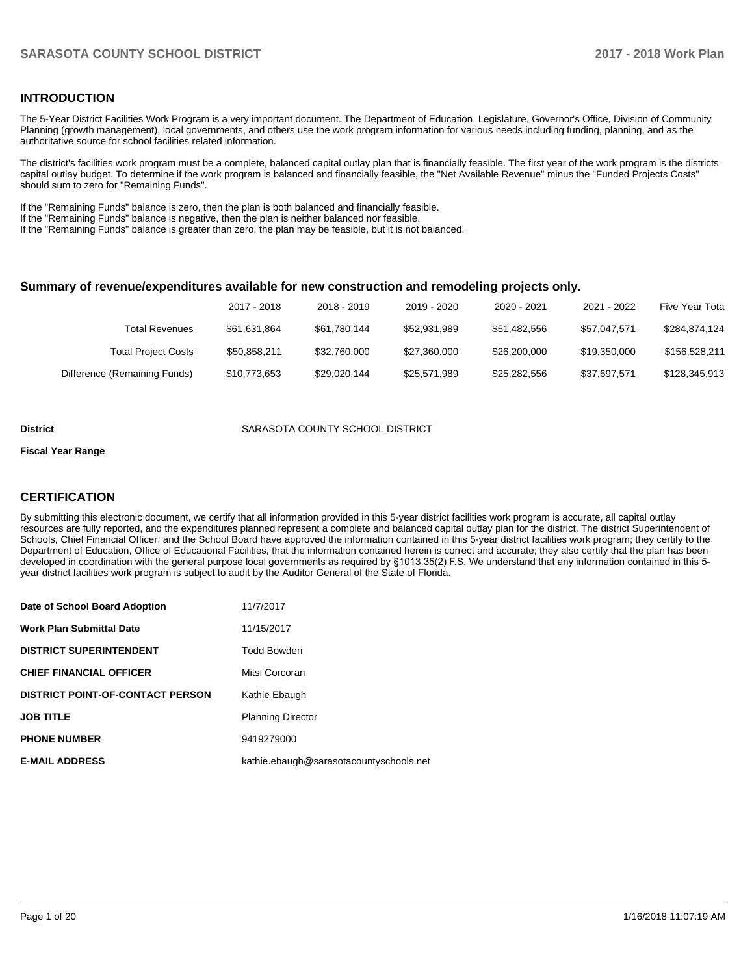## **INTRODUCTION**

The 5-Year District Facilities Work Program is a very important document. The Department of Education, Legislature, Governor's Office, Division of Community Planning (growth management), local governments, and others use the work program information for various needs including funding, planning, and as the authoritative source for school facilities related information.

The district's facilities work program must be a complete, balanced capital outlay plan that is financially feasible. The first year of the work program is the districts capital outlay budget. To determine if the work program is balanced and financially feasible, the "Net Available Revenue" minus the "Funded Projects Costs" should sum to zero for "Remaining Funds".

If the "Remaining Funds" balance is zero, then the plan is both balanced and financially feasible.

If the "Remaining Funds" balance is negative, then the plan is neither balanced nor feasible.

If the "Remaining Funds" balance is greater than zero, the plan may be feasible, but it is not balanced.

#### **Summary of revenue/expenditures available for new construction and remodeling projects only.**

|                              | 2017 - 2018  | 2018 - 2019  | 2019 - 2020  | 2020 - 2021  | 2021 - 2022  | Five Year Tota |
|------------------------------|--------------|--------------|--------------|--------------|--------------|----------------|
| Total Revenues               | \$61.631.864 | \$61,780,144 | \$52.931.989 | \$51.482.556 | \$57.047.571 | \$284.874.124  |
| <b>Total Project Costs</b>   | \$50,858,211 | \$32,760,000 | \$27,360,000 | \$26,200,000 | \$19.350.000 | \$156,528,211  |
| Difference (Remaining Funds) | \$10,773,653 | \$29,020,144 | \$25,571,989 | \$25,282,556 | \$37,697,571 | \$128,345,913  |

#### **District COUNTY SCHOOL DISTRICT SARASOTA COUNTY SCHOOL DISTRICT**

#### **Fiscal Year Range**

## **CERTIFICATION**

By submitting this electronic document, we certify that all information provided in this 5-year district facilities work program is accurate, all capital outlay resources are fully reported, and the expenditures planned represent a complete and balanced capital outlay plan for the district. The district Superintendent of Schools, Chief Financial Officer, and the School Board have approved the information contained in this 5-year district facilities work program; they certify to the Department of Education, Office of Educational Facilities, that the information contained herein is correct and accurate; they also certify that the plan has been developed in coordination with the general purpose local governments as required by §1013.35(2) F.S. We understand that any information contained in this 5year district facilities work program is subject to audit by the Auditor General of the State of Florida.

| Date of School Board Adoption           | 11/7/2017                               |
|-----------------------------------------|-----------------------------------------|
| <b>Work Plan Submittal Date</b>         | 11/15/2017                              |
| <b>DISTRICT SUPERINTENDENT</b>          | Todd Bowden                             |
| <b>CHIEF FINANCIAL OFFICER</b>          | Mitsi Corcoran                          |
| <b>DISTRICT POINT-OF-CONTACT PERSON</b> | Kathie Ebaugh                           |
| <b>JOB TITLE</b>                        | <b>Planning Director</b>                |
| <b>PHONE NUMBER</b>                     | 9419279000                              |
| <b>E-MAIL ADDRESS</b>                   | kathie.ebaugh@sarasotacountyschools.net |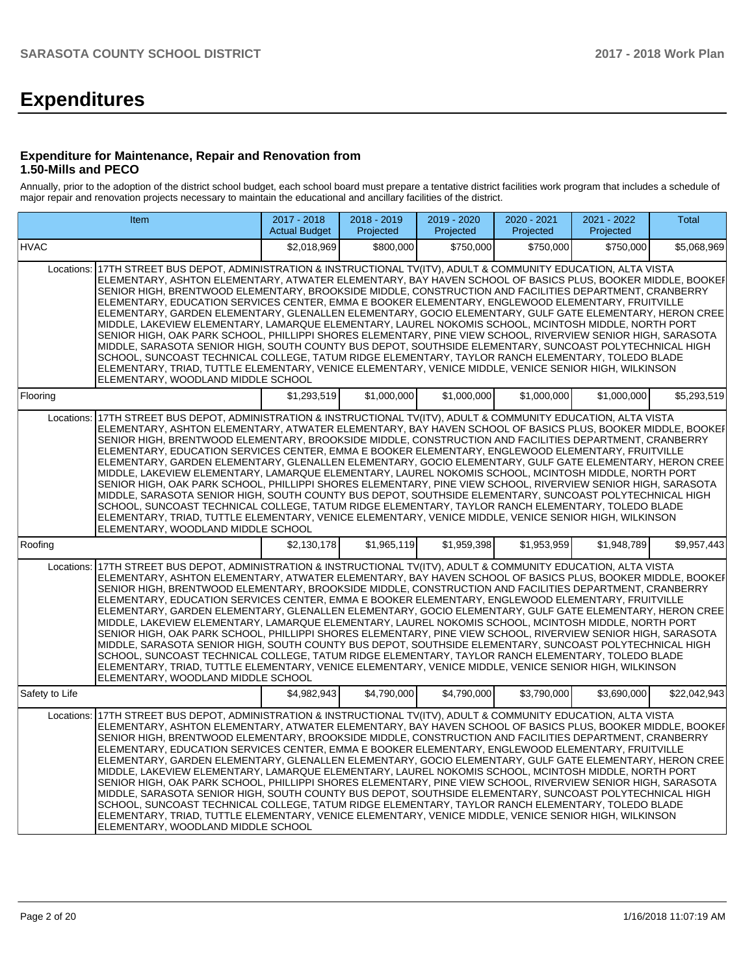# **Expenditures**

### **Expenditure for Maintenance, Repair and Renovation from 1.50-Mills and PECO**

Annually, prior to the adoption of the district school budget, each school board must prepare a tentative district facilities work program that includes a schedule of major repair and renovation projects necessary to maintain the educational and ancillary facilities of the district.

|                | Item                                                                                                                                                                                                                                                                                                                                                                                                                                                                                                                                                                                                                                                                                                                                                                                                                                                                                                                                                                                                                                                                                                                                            | 2017 - 2018<br><b>Actual Budget</b> | 2018 - 2019<br>Projected | 2019 - 2020<br>Projected | 2020 - 2021<br>Projected | 2021 - 2022<br>Projected | Total        |
|----------------|-------------------------------------------------------------------------------------------------------------------------------------------------------------------------------------------------------------------------------------------------------------------------------------------------------------------------------------------------------------------------------------------------------------------------------------------------------------------------------------------------------------------------------------------------------------------------------------------------------------------------------------------------------------------------------------------------------------------------------------------------------------------------------------------------------------------------------------------------------------------------------------------------------------------------------------------------------------------------------------------------------------------------------------------------------------------------------------------------------------------------------------------------|-------------------------------------|--------------------------|--------------------------|--------------------------|--------------------------|--------------|
| <b>HVAC</b>    |                                                                                                                                                                                                                                                                                                                                                                                                                                                                                                                                                                                                                                                                                                                                                                                                                                                                                                                                                                                                                                                                                                                                                 | \$2.018.969                         | \$800,000                | \$750.000                | \$750.000                | \$750.000                | \$5,068,969  |
|                | Locations: 17TH STREET BUS DEPOT, ADMINISTRATION & INSTRUCTIONAL TV(ITV), ADULT & COMMUNITY EDUCATION, ALTA VISTA<br>ELEMENTARY, ASHTON ELEMENTARY, ATWATER ELEMENTARY, BAY HAVEN SCHOOL OF BASICS PLUS, BOOKER MIDDLE, BOOKEF<br>SENIOR HIGH, BRENTWOOD ELEMENTARY, BROOKSIDE MIDDLE, CONSTRUCTION AND FACILITIES DEPARTMENT, CRANBERRY<br>ELEMENTARY, EDUCATION SERVICES CENTER, EMMA E BOOKER ELEMENTARY, ENGLEWOOD ELEMENTARY, FRUITVILLE<br>ELEMENTARY, GARDEN ELEMENTARY, GLENALLEN ELEMENTARY, GOCIO ELEMENTARY, GULF GATE ELEMENTARY, HERON CREE<br>MIDDLE, LAKEVIEW ELEMENTARY, LAMARQUE ELEMENTARY, LAUREL NOKOMIS SCHOOL, MCINTOSH MIDDLE, NORTH PORT<br>SENIOR HIGH, OAK PARK SCHOOL, PHILLIPPI SHORES ELEMENTARY, PINE VIEW SCHOOL, RIVERVIEW SENIOR HIGH, SARASOTA<br>MIDDLE, SARASOTA SENIOR HIGH, SOUTH COUNTY BUS DEPOT, SOUTHSIDE ELEMENTARY, SUNCOAST POLYTECHNICAL HIGH<br>SCHOOL, SUNCOAST TECHNICAL COLLEGE, TATUM RIDGE ELEMENTARY, TAYLOR RANCH ELEMENTARY, TOLEDO BLADE<br>ELEMENTARY, TRIAD, TUTTLE ELEMENTARY, VENICE ELEMENTARY, VENICE MIDDLE, VENICE SENIOR HIGH, WILKINSON<br>ELEMENTARY, WOODLAND MIDDLE SCHOOL |                                     |                          |                          |                          |                          |              |
| Flooring       |                                                                                                                                                                                                                                                                                                                                                                                                                                                                                                                                                                                                                                                                                                                                                                                                                                                                                                                                                                                                                                                                                                                                                 | \$1.293.519                         | \$1.000.000              | \$1.000.000              | \$1.000.000              | \$1.000.000              | \$5,293,519  |
| Locations:     | 17TH STREET BUS DEPOT, ADMINISTRATION & INSTRUCTIONAL TV(ITV), ADULT & COMMUNITY EDUCATION, ALTA VISTA<br>ELEMENTARY, ASHTON ELEMENTARY, ATWATER ELEMENTARY, BAY HAVEN SCHOOL OF BASICS PLUS, BOOKER MIDDLE, BOOKEF<br>SENIOR HIGH, BRENTWOOD ELEMENTARY, BROOKSIDE MIDDLE, CONSTRUCTION AND FACILITIES DEPARTMENT, CRANBERRY<br>ELEMENTARY, EDUCATION SERVICES CENTER, EMMA E BOOKER ELEMENTARY, ENGLEWOOD ELEMENTARY, FRUITVILLE<br>ELEMENTARY, GARDEN ELEMENTARY, GLENALLEN ELEMENTARY, GOCIO ELEMENTARY, GULF GATE ELEMENTARY, HERON CREE<br>MIDDLE, LAKEVIEW ELEMENTARY, LAMARQUE ELEMENTARY, LAUREL NOKOMIS SCHOOL, MCINTOSH MIDDLE, NORTH PORT<br>SENIOR HIGH, OAK PARK SCHOOL, PHILLIPPI SHORES ELEMENTARY, PINE VIEW SCHOOL, RIVERVIEW SENIOR HIGH, SARASOTA<br>MIDDLE, SARASOTA SENIOR HIGH, SOUTH COUNTY BUS DEPOT, SOUTHSIDE ELEMENTARY, SUNCOAST POLYTECHNICAL HIGH<br>SCHOOL, SUNCOAST TECHNICAL COLLEGE, TATUM RIDGE ELEMENTARY, TAYLOR RANCH ELEMENTARY, TOLEDO BLADE<br>ELEMENTARY, TRIAD, TUTTLE ELEMENTARY, VENICE ELEMENTARY, VENICE MIDDLE, VENICE SENIOR HIGH, WILKINSON<br>ELEMENTARY, WOODLAND MIDDLE SCHOOL            |                                     |                          |                          |                          |                          |              |
| Roofing        |                                                                                                                                                                                                                                                                                                                                                                                                                                                                                                                                                                                                                                                                                                                                                                                                                                                                                                                                                                                                                                                                                                                                                 | \$2,130,178                         | \$1,965,119              | \$1,959,398              | \$1,953,959              | \$1,948,789              | \$9,957,443  |
|                | Locations: 17TH STREET BUS DEPOT, ADMINISTRATION & INSTRUCTIONAL TV(ITV), ADULT & COMMUNITY EDUCATION, ALTA VISTA<br>ELEMENTARY, ASHTON ELEMENTARY, ATWATER ELEMENTARY, BAY HAVEN SCHOOL OF BASICS PLUS, BOOKER MIDDLE, BOOKEF<br>SENIOR HIGH, BRENTWOOD ELEMENTARY, BROOKSIDE MIDDLE, CONSTRUCTION AND FACILITIES DEPARTMENT, CRANBERRY<br>ELEMENTARY, EDUCATION SERVICES CENTER, EMMA E BOOKER ELEMENTARY, ENGLEWOOD ELEMENTARY, FRUITVILLE<br>ELEMENTARY, GARDEN ELEMENTARY, GLENALLEN ELEMENTARY, GOCIO ELEMENTARY, GULF GATE ELEMENTARY, HERON CREE<br>MIDDLE, LAKEVIEW ELEMENTARY, LAMARQUE ELEMENTARY, LAUREL NOKOMIS SCHOOL, MCINTOSH MIDDLE, NORTH PORT<br>SENIOR HIGH, OAK PARK SCHOOL, PHILLIPPI SHORES ELEMENTARY, PINE VIEW SCHOOL, RIVERVIEW SENIOR HIGH, SARASOTA<br>MIDDLE, SARASOTA SENIOR HIGH, SOUTH COUNTY BUS DEPOT, SOUTHSIDE ELEMENTARY, SUNCOAST POLYTECHNICAL HIGH<br>SCHOOL, SUNCOAST TECHNICAL COLLEGE, TATUM RIDGE ELEMENTARY, TAYLOR RANCH ELEMENTARY, TOLEDO BLADE<br>ELEMENTARY, TRIAD, TUTTLE ELEMENTARY, VENICE ELEMENTARY, VENICE MIDDLE, VENICE SENIOR HIGH, WILKINSON<br>ELEMENTARY, WOODLAND MIDDLE SCHOOL |                                     |                          |                          |                          |                          |              |
| Safety to Life |                                                                                                                                                                                                                                                                                                                                                                                                                                                                                                                                                                                                                                                                                                                                                                                                                                                                                                                                                                                                                                                                                                                                                 | \$4,982,943                         | \$4.790.000              | \$4.790.000              | \$3.790.000              | \$3.690.000              | \$22.042.943 |
| Locations:     | 17TH STREET BUS DEPOT, ADMINISTRATION & INSTRUCTIONAL TV(ITV), ADULT & COMMUNITY EDUCATION, ALTA VISTA<br>ELEMENTARY, ASHTON ELEMENTARY, ATWATER ELEMENTARY, BAY HAVEN SCHOOL OF BASICS PLUS, BOOKER MIDDLE, BOOKEF<br>SENIOR HIGH, BRENTWOOD ELEMENTARY, BROOKSIDE MIDDLE, CONSTRUCTION AND FACILITIES DEPARTMENT, CRANBERRY<br>ELEMENTARY, EDUCATION SERVICES CENTER, EMMA E BOOKER ELEMENTARY, ENGLEWOOD ELEMENTARY, FRUITVILLE<br>ELEMENTARY, GARDEN ELEMENTARY, GLENALLEN ELEMENTARY, GOCIO ELEMENTARY, GULF GATE ELEMENTARY, HERON CREE<br>MIDDLE, LAKEVIEW ELEMENTARY, LAMARQUE ELEMENTARY, LAUREL NOKOMIS SCHOOL, MCINTOSH MIDDLE, NORTH PORT<br>SENIOR HIGH, OAK PARK SCHOOL, PHILLIPPI SHORES ELEMENTARY, PINE VIEW SCHOOL, RIVERVIEW SENIOR HIGH, SARASOTA<br>MIDDLE, SARASOTA SENIOR HIGH, SOUTH COUNTY BUS DEPOT, SOUTHSIDE ELEMENTARY, SUNCOAST POLYTECHNICAL HIGH<br>SCHOOL, SUNCOAST TECHNICAL COLLEGE, TATUM RIDGE ELEMENTARY, TAYLOR RANCH ELEMENTARY, TOLEDO BLADE<br>ELEMENTARY, TRIAD, TUTTLE ELEMENTARY, VENICE ELEMENTARY, VENICE MIDDLE, VENICE SENIOR HIGH, WILKINSON<br>ELEMENTARY, WOODLAND MIDDLE SCHOOL            |                                     |                          |                          |                          |                          |              |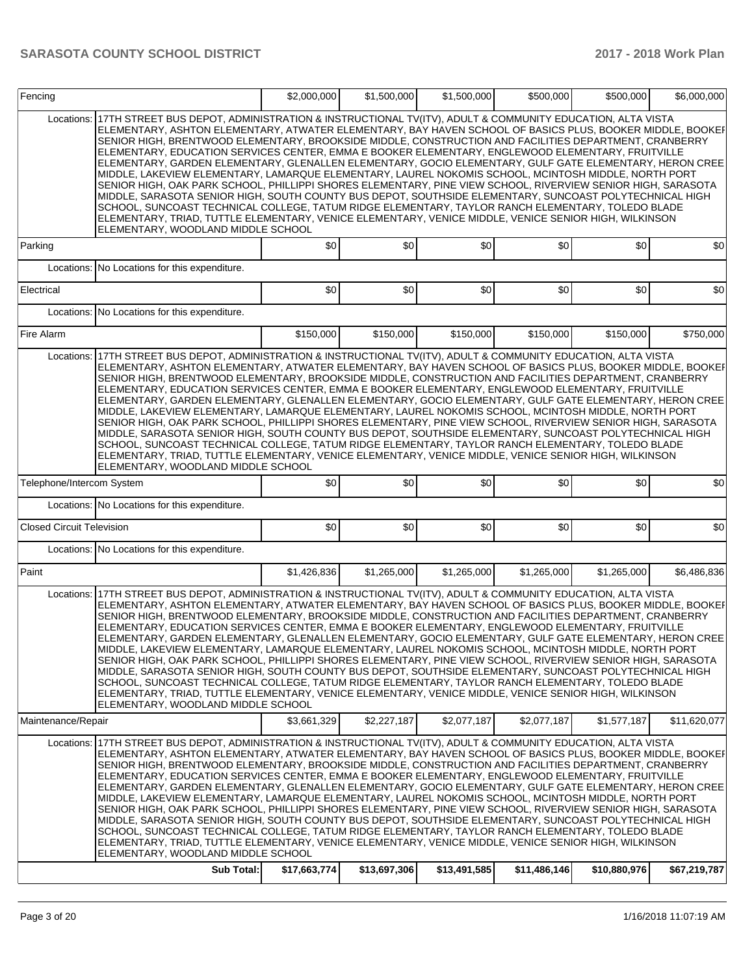| 17TH STREET BUS DEPOT, ADMINISTRATION & INSTRUCTIONAL TV(ITV), ADULT & COMMUNITY EDUCATION, ALTA VISTA<br>Locations:<br>ELEMENTARY, ASHTON ELEMENTARY, ATWATER ELEMENTARY, BAY HAVEN SCHOOL OF BASICS PLUS, BOOKER MIDDLE, BOOKEF<br>SENIOR HIGH, BRENTWOOD ELEMENTARY, BROOKSIDE MIDDLE, CONSTRUCTION AND FACILITIES DEPARTMENT, CRANBERRY<br>ELEMENTARY, EDUCATION SERVICES CENTER, EMMA E BOOKER ELEMENTARY, ENGLEWOOD ELEMENTARY, FRUITVILLE<br>ELEMENTARY, GARDEN ELEMENTARY, GLENALLEN ELEMENTARY, GOCIO ELEMENTARY, GULF GATE ELEMENTARY, HERON CREE<br>MIDDLE, LAKEVIEW ELEMENTARY, LAMARQUE ELEMENTARY, LAUREL NOKOMIS SCHOOL, MCINTOSH MIDDLE, NORTH PORT<br>SENIOR HIGH, OAK PARK SCHOOL, PHILLIPPI SHORES ELEMENTARY, PINE VIEW SCHOOL, RIVERVIEW SENIOR HIGH, SARASOTA<br>MIDDLE, SARASOTA SENIOR HIGH, SOUTH COUNTY BUS DEPOT, SOUTHSIDE ELEMENTARY, SUNCOAST POLYTECHNICAL HIGH<br>SCHOOL, SUNCOAST TECHNICAL COLLEGE, TATUM RIDGE ELEMENTARY, TAYLOR RANCH ELEMENTARY, TOLEDO BLADE<br>ELEMENTARY, TRIAD, TUTTLE ELEMENTARY, VENICE ELEMENTARY, VENICE MIDDLE, VENICE SENIOR HIGH, WILKINSON<br>ELEMENTARY, WOODLAND MIDDLE SCHOOL<br>\$0<br>\$0<br>\$0<br>\$0<br>\$0<br>Parking<br>Locations: No Locations for this expenditure.<br>\$0<br>\$0<br>\$0<br>\$0<br>\$0<br>Electrical<br>Locations: No Locations for this expenditure.<br>Fire Alarm<br>\$150,000<br>\$150,000<br>\$150,000<br>\$150,000<br>\$150,000<br>17TH STREET BUS DEPOT, ADMINISTRATION & INSTRUCTIONAL TV(ITV), ADULT & COMMUNITY EDUCATION, ALTA VISTA<br>Locations:<br>ELEMENTARY, ASHTON ELEMENTARY, ATWATER ELEMENTARY, BAY HAVEN SCHOOL OF BASICS PLUS, BOOKER MIDDLE, BOOKEF<br>SENIOR HIGH, BRENTWOOD ELEMENTARY, BROOKSIDE MIDDLE, CONSTRUCTION AND FACILITIES DEPARTMENT, CRANBERRY<br>ELEMENTARY, EDUCATION SERVICES CENTER, EMMA E BOOKER ELEMENTARY, ENGLEWOOD ELEMENTARY, FRUITVILLE<br>ELEMENTARY, GARDEN ELEMENTARY, GLENALLEN ELEMENTARY, GOCIO ELEMENTARY, GULF GATE ELEMENTARY, HERON CREE<br>MIDDLE, LAKEVIEW ELEMENTARY, LAMARQUE ELEMENTARY, LAUREL NOKOMIS SCHOOL, MCINTOSH MIDDLE, NORTH PORT<br>SENIOR HIGH, OAK PARK SCHOOL, PHILLIPPI SHORES ELEMENTARY, PINE VIEW SCHOOL, RIVERVIEW SENIOR HIGH, SARASOTA<br>MIDDLE, SARASOTA SENIOR HIGH, SOUTH COUNTY BUS DEPOT, SOUTHSIDE ELEMENTARY, SUNCOAST POLYTECHNICAL HIGH<br>SCHOOL, SUNCOAST TECHNICAL COLLEGE, TATUM RIDGE ELEMENTARY, TAYLOR RANCH ELEMENTARY, TOLEDO BLADE<br>ELEMENTARY, TRIAD, TUTTLE ELEMENTARY, VENICE ELEMENTARY, VENICE MIDDLE, VENICE SENIOR HIGH, WILKINSON<br>ELEMENTARY, WOODLAND MIDDLE SCHOOL<br>\$0<br>\$0<br>\$0<br>\$0<br>\$0<br>Telephone/Intercom System<br>Locations: No Locations for this expenditure.<br>\$0<br>\$0<br>\$0<br>\$0<br>\$0<br><b>Closed Circuit Television</b><br>Locations: No Locations for this expenditure.<br>Paint<br>\$1,426,836<br>\$1,265,000<br>\$1,265,000<br>\$1,265,000<br>\$1.265.000<br>Locations: 17TH STREET BUS DEPOT, ADMINISTRATION & INSTRUCTIONAL TV(ITV), ADULT & COMMUNITY EDUCATION, ALTA VISTA<br>ELEMENTARY, ASHTON ELEMENTARY, ATWATER ELEMENTARY, BAY HAVEN SCHOOL OF BASICS PLUS, BOOKER MIDDLE, BOOKEF<br>SENIOR HIGH, BRENTWOOD ELEMENTARY, BROOKSIDE MIDDLE, CONSTRUCTION AND FACILITIES DEPARTMENT, CRANBERRY<br>ELEMENTARY, EDUCATION SERVICES CENTER, EMMA E BOOKER ELEMENTARY, ENGLEWOOD ELEMENTARY, FRUITVILLE<br>ELEMENTARY, GARDEN ELEMENTARY, GLENALLEN ELEMENTARY, GOCIO ELEMENTARY, GULF GATE ELEMENTARY, HERON CREE<br>MIDDLE, LAKEVIEW ELEMENTARY, LAMARQUE ELEMENTARY, LAUREL NOKOMIS SCHOOL, MCINTOSH MIDDLE, NORTH PORT<br>SENIOR HIGH, OAK PARK SCHOOL, PHILLIPPI SHORES ELEMENTARY, PINE VIEW SCHOOL, RIVERVIEW SENIOR HIGH, SARASOTA<br>MIDDLE, SARASOTA SENIOR HIGH, SOUTH COUNTY BUS DEPOT, SOUTHSIDE ELEMENTARY, SUNCOAST POLYTECHNICAL HIGH<br>SCHOOL, SUNCOAST TECHNICAL COLLEGE, TATUM RIDGE ELEMENTARY, TAYLOR RANCH ELEMENTARY, TOLEDO BLADE<br>ELEMENTARY, TRIAD, TUTTLE ELEMENTARY, VENICE ELEMENTARY, VENICE MIDDLE, VENICE SENIOR HIGH, WILKINSON<br>ELEMENTARY, WOODLAND MIDDLE SCHOOL<br>Maintenance/Repair<br>\$3,661,329<br>\$2,227,187<br>\$2,077,187<br>\$2,077,187<br>\$1,577,187<br>Locations:   17TH STREET BUS DEPOT, ADMINISTRATION & INSTRUCTIONAL TV(ITV), ADULT & COMMUNITY EDUCATION, ALTA VISTA<br>IELEMENTARY. ASHTON ELEMENTARY. ATWATER ELEMENTARY. BAY HAVEN SCHOOL OF BASICS PLUS. BOOKER MIDDLE. BOOKEF<br>SENIOR HIGH, BRENTWOOD ELEMENTARY, BROOKSIDE MIDDLE, CONSTRUCTION AND FACILITIES DEPARTMENT, CRANBERRY<br>ELEMENTARY, EDUCATION SERVICES CENTER, EMMA E BOOKER ELEMENTARY, ENGLEWOOD ELEMENTARY, FRUITVILLE<br> ELEMENTARY, GARDEN ELEMENTARY, GLENALLEN ELEMENTARY, GOCIO ELEMENTARY, GULF GATE ELEMENTARY, HERON CREE<br>MIDDLE, LAKEVIEW ELEMENTARY, LAMARQUE ELEMENTARY, LAUREL NOKOMIS SCHOOL, MCINTOSH MIDDLE, NORTH PORT<br>SENIOR HIGH, OAK PARK SCHOOL, PHILLIPPI SHORES ELEMENTARY, PINE VIEW SCHOOL, RIVERVIEW SENIOR HIGH, SARASOTA<br>MIDDLE, SARASOTA SENIOR HIGH, SOUTH COUNTY BUS DEPOT, SOUTHSIDE ELEMENTARY, SUNCOAST POLYTECHNICAL HIGH<br>SCHOOL, SUNCOAST TECHNICAL COLLEGE, TATUM RIDGE ELEMENTARY, TAYLOR RANCH ELEMENTARY, TOLEDO BLADE<br>ELEMENTARY, TRIAD, TUTTLE ELEMENTARY, VENICE ELEMENTARY, VENICE MIDDLE, VENICE SENIOR HIGH, WILKINSON | Fencing |                                    | \$2,000,000 | \$1,500,000 | \$1,500,000 | \$500,000 | \$500,000 | \$6,000,000  |
|--------------------------------------------------------------------------------------------------------------------------------------------------------------------------------------------------------------------------------------------------------------------------------------------------------------------------------------------------------------------------------------------------------------------------------------------------------------------------------------------------------------------------------------------------------------------------------------------------------------------------------------------------------------------------------------------------------------------------------------------------------------------------------------------------------------------------------------------------------------------------------------------------------------------------------------------------------------------------------------------------------------------------------------------------------------------------------------------------------------------------------------------------------------------------------------------------------------------------------------------------------------------------------------------------------------------------------------------------------------------------------------------------------------------------------------------------------------------------------------------------------------------------------------------------------------------------------------------------------------------------------------------------------------------------------------------------------------------------------------------------------------------------------------------------------------------------------------------------------------------------------------------------------------------------------------------------------------------------------------------------------------------------------------------------------------------------------------------------------------------------------------------------------------------------------------------------------------------------------------------------------------------------------------------------------------------------------------------------------------------------------------------------------------------------------------------------------------------------------------------------------------------------------------------------------------------------------------------------------------------------------------------------------------------------------------------------------------------------------------------------------------------------------------------------------------------------------------------------------------------------------------------------------------------------------------------------------------------------------------------------------------------------------------------------------------------------------------------------------------------------------------------------------------------------------------------------------------------------------------------------------------------------------------------------------------------------------------------------------------------------------------------------------------------------------------------------------------------------------------------------------------------------------------------------------------------------------------------------------------------------------------------------------------------------------------------------------------------------------------------------------------------------------------------------------------------------------------------------------------------------------------------------------------------------------------------------------------------------------------------------------------------------------------------------------------------------------------------------------------------------------------------------------------------------------------------------------------------------------------------------------------------------------------------------------------------------------------------------------------------------------------------------------------------------------------------------------------------------------------------------------------------------------------------------------------------------------------------------------------------------------------------------------------------------------------------------------------------------------------------------------------------------------------------------------------------------------------------------------------------------------------------------------------------------------------------------------------------------------------------------------------------------------------------------------------------------------------------------------------------------------------------------------------------------------------------------------------------------------------------------------------------------------------------|---------|------------------------------------|-------------|-------------|-------------|-----------|-----------|--------------|
|                                                                                                                                                                                                                                                                                                                                                                                                                                                                                                                                                                                                                                                                                                                                                                                                                                                                                                                                                                                                                                                                                                                                                                                                                                                                                                                                                                                                                                                                                                                                                                                                                                                                                                                                                                                                                                                                                                                                                                                                                                                                                                                                                                                                                                                                                                                                                                                                                                                                                                                                                                                                                                                                                                                                                                                                                                                                                                                                                                                                                                                                                                                                                                                                                                                                                                                                                                                                                                                                                                                                                                                                                                                                                                                                                                                                                                                                                                                                                                                                                                                                                                                                                                                                                                                                                                                                                                                                                                                                                                                                                                                                                                                                                                                                                                                                                                                                                                                                                                                                                                                                                                                                                                                                                                                                                            |         |                                    |             |             |             |           |           |              |
|                                                                                                                                                                                                                                                                                                                                                                                                                                                                                                                                                                                                                                                                                                                                                                                                                                                                                                                                                                                                                                                                                                                                                                                                                                                                                                                                                                                                                                                                                                                                                                                                                                                                                                                                                                                                                                                                                                                                                                                                                                                                                                                                                                                                                                                                                                                                                                                                                                                                                                                                                                                                                                                                                                                                                                                                                                                                                                                                                                                                                                                                                                                                                                                                                                                                                                                                                                                                                                                                                                                                                                                                                                                                                                                                                                                                                                                                                                                                                                                                                                                                                                                                                                                                                                                                                                                                                                                                                                                                                                                                                                                                                                                                                                                                                                                                                                                                                                                                                                                                                                                                                                                                                                                                                                                                                            |         |                                    |             |             |             |           |           | \$0          |
|                                                                                                                                                                                                                                                                                                                                                                                                                                                                                                                                                                                                                                                                                                                                                                                                                                                                                                                                                                                                                                                                                                                                                                                                                                                                                                                                                                                                                                                                                                                                                                                                                                                                                                                                                                                                                                                                                                                                                                                                                                                                                                                                                                                                                                                                                                                                                                                                                                                                                                                                                                                                                                                                                                                                                                                                                                                                                                                                                                                                                                                                                                                                                                                                                                                                                                                                                                                                                                                                                                                                                                                                                                                                                                                                                                                                                                                                                                                                                                                                                                                                                                                                                                                                                                                                                                                                                                                                                                                                                                                                                                                                                                                                                                                                                                                                                                                                                                                                                                                                                                                                                                                                                                                                                                                                                            |         |                                    |             |             |             |           |           |              |
|                                                                                                                                                                                                                                                                                                                                                                                                                                                                                                                                                                                                                                                                                                                                                                                                                                                                                                                                                                                                                                                                                                                                                                                                                                                                                                                                                                                                                                                                                                                                                                                                                                                                                                                                                                                                                                                                                                                                                                                                                                                                                                                                                                                                                                                                                                                                                                                                                                                                                                                                                                                                                                                                                                                                                                                                                                                                                                                                                                                                                                                                                                                                                                                                                                                                                                                                                                                                                                                                                                                                                                                                                                                                                                                                                                                                                                                                                                                                                                                                                                                                                                                                                                                                                                                                                                                                                                                                                                                                                                                                                                                                                                                                                                                                                                                                                                                                                                                                                                                                                                                                                                                                                                                                                                                                                            |         |                                    |             |             |             |           |           | \$0          |
|                                                                                                                                                                                                                                                                                                                                                                                                                                                                                                                                                                                                                                                                                                                                                                                                                                                                                                                                                                                                                                                                                                                                                                                                                                                                                                                                                                                                                                                                                                                                                                                                                                                                                                                                                                                                                                                                                                                                                                                                                                                                                                                                                                                                                                                                                                                                                                                                                                                                                                                                                                                                                                                                                                                                                                                                                                                                                                                                                                                                                                                                                                                                                                                                                                                                                                                                                                                                                                                                                                                                                                                                                                                                                                                                                                                                                                                                                                                                                                                                                                                                                                                                                                                                                                                                                                                                                                                                                                                                                                                                                                                                                                                                                                                                                                                                                                                                                                                                                                                                                                                                                                                                                                                                                                                                                            |         |                                    |             |             |             |           |           |              |
|                                                                                                                                                                                                                                                                                                                                                                                                                                                                                                                                                                                                                                                                                                                                                                                                                                                                                                                                                                                                                                                                                                                                                                                                                                                                                                                                                                                                                                                                                                                                                                                                                                                                                                                                                                                                                                                                                                                                                                                                                                                                                                                                                                                                                                                                                                                                                                                                                                                                                                                                                                                                                                                                                                                                                                                                                                                                                                                                                                                                                                                                                                                                                                                                                                                                                                                                                                                                                                                                                                                                                                                                                                                                                                                                                                                                                                                                                                                                                                                                                                                                                                                                                                                                                                                                                                                                                                                                                                                                                                                                                                                                                                                                                                                                                                                                                                                                                                                                                                                                                                                                                                                                                                                                                                                                                            |         |                                    |             |             |             |           |           | \$750,000    |
|                                                                                                                                                                                                                                                                                                                                                                                                                                                                                                                                                                                                                                                                                                                                                                                                                                                                                                                                                                                                                                                                                                                                                                                                                                                                                                                                                                                                                                                                                                                                                                                                                                                                                                                                                                                                                                                                                                                                                                                                                                                                                                                                                                                                                                                                                                                                                                                                                                                                                                                                                                                                                                                                                                                                                                                                                                                                                                                                                                                                                                                                                                                                                                                                                                                                                                                                                                                                                                                                                                                                                                                                                                                                                                                                                                                                                                                                                                                                                                                                                                                                                                                                                                                                                                                                                                                                                                                                                                                                                                                                                                                                                                                                                                                                                                                                                                                                                                                                                                                                                                                                                                                                                                                                                                                                                            |         |                                    |             |             |             |           |           |              |
|                                                                                                                                                                                                                                                                                                                                                                                                                                                                                                                                                                                                                                                                                                                                                                                                                                                                                                                                                                                                                                                                                                                                                                                                                                                                                                                                                                                                                                                                                                                                                                                                                                                                                                                                                                                                                                                                                                                                                                                                                                                                                                                                                                                                                                                                                                                                                                                                                                                                                                                                                                                                                                                                                                                                                                                                                                                                                                                                                                                                                                                                                                                                                                                                                                                                                                                                                                                                                                                                                                                                                                                                                                                                                                                                                                                                                                                                                                                                                                                                                                                                                                                                                                                                                                                                                                                                                                                                                                                                                                                                                                                                                                                                                                                                                                                                                                                                                                                                                                                                                                                                                                                                                                                                                                                                                            |         |                                    |             |             |             |           |           | \$0          |
|                                                                                                                                                                                                                                                                                                                                                                                                                                                                                                                                                                                                                                                                                                                                                                                                                                                                                                                                                                                                                                                                                                                                                                                                                                                                                                                                                                                                                                                                                                                                                                                                                                                                                                                                                                                                                                                                                                                                                                                                                                                                                                                                                                                                                                                                                                                                                                                                                                                                                                                                                                                                                                                                                                                                                                                                                                                                                                                                                                                                                                                                                                                                                                                                                                                                                                                                                                                                                                                                                                                                                                                                                                                                                                                                                                                                                                                                                                                                                                                                                                                                                                                                                                                                                                                                                                                                                                                                                                                                                                                                                                                                                                                                                                                                                                                                                                                                                                                                                                                                                                                                                                                                                                                                                                                                                            |         |                                    |             |             |             |           |           |              |
|                                                                                                                                                                                                                                                                                                                                                                                                                                                                                                                                                                                                                                                                                                                                                                                                                                                                                                                                                                                                                                                                                                                                                                                                                                                                                                                                                                                                                                                                                                                                                                                                                                                                                                                                                                                                                                                                                                                                                                                                                                                                                                                                                                                                                                                                                                                                                                                                                                                                                                                                                                                                                                                                                                                                                                                                                                                                                                                                                                                                                                                                                                                                                                                                                                                                                                                                                                                                                                                                                                                                                                                                                                                                                                                                                                                                                                                                                                                                                                                                                                                                                                                                                                                                                                                                                                                                                                                                                                                                                                                                                                                                                                                                                                                                                                                                                                                                                                                                                                                                                                                                                                                                                                                                                                                                                            |         |                                    |             |             |             |           |           | \$0          |
|                                                                                                                                                                                                                                                                                                                                                                                                                                                                                                                                                                                                                                                                                                                                                                                                                                                                                                                                                                                                                                                                                                                                                                                                                                                                                                                                                                                                                                                                                                                                                                                                                                                                                                                                                                                                                                                                                                                                                                                                                                                                                                                                                                                                                                                                                                                                                                                                                                                                                                                                                                                                                                                                                                                                                                                                                                                                                                                                                                                                                                                                                                                                                                                                                                                                                                                                                                                                                                                                                                                                                                                                                                                                                                                                                                                                                                                                                                                                                                                                                                                                                                                                                                                                                                                                                                                                                                                                                                                                                                                                                                                                                                                                                                                                                                                                                                                                                                                                                                                                                                                                                                                                                                                                                                                                                            |         |                                    |             |             |             |           |           |              |
|                                                                                                                                                                                                                                                                                                                                                                                                                                                                                                                                                                                                                                                                                                                                                                                                                                                                                                                                                                                                                                                                                                                                                                                                                                                                                                                                                                                                                                                                                                                                                                                                                                                                                                                                                                                                                                                                                                                                                                                                                                                                                                                                                                                                                                                                                                                                                                                                                                                                                                                                                                                                                                                                                                                                                                                                                                                                                                                                                                                                                                                                                                                                                                                                                                                                                                                                                                                                                                                                                                                                                                                                                                                                                                                                                                                                                                                                                                                                                                                                                                                                                                                                                                                                                                                                                                                                                                                                                                                                                                                                                                                                                                                                                                                                                                                                                                                                                                                                                                                                                                                                                                                                                                                                                                                                                            |         |                                    |             |             |             |           |           | \$6,486,836  |
|                                                                                                                                                                                                                                                                                                                                                                                                                                                                                                                                                                                                                                                                                                                                                                                                                                                                                                                                                                                                                                                                                                                                                                                                                                                                                                                                                                                                                                                                                                                                                                                                                                                                                                                                                                                                                                                                                                                                                                                                                                                                                                                                                                                                                                                                                                                                                                                                                                                                                                                                                                                                                                                                                                                                                                                                                                                                                                                                                                                                                                                                                                                                                                                                                                                                                                                                                                                                                                                                                                                                                                                                                                                                                                                                                                                                                                                                                                                                                                                                                                                                                                                                                                                                                                                                                                                                                                                                                                                                                                                                                                                                                                                                                                                                                                                                                                                                                                                                                                                                                                                                                                                                                                                                                                                                                            |         |                                    |             |             |             |           |           |              |
|                                                                                                                                                                                                                                                                                                                                                                                                                                                                                                                                                                                                                                                                                                                                                                                                                                                                                                                                                                                                                                                                                                                                                                                                                                                                                                                                                                                                                                                                                                                                                                                                                                                                                                                                                                                                                                                                                                                                                                                                                                                                                                                                                                                                                                                                                                                                                                                                                                                                                                                                                                                                                                                                                                                                                                                                                                                                                                                                                                                                                                                                                                                                                                                                                                                                                                                                                                                                                                                                                                                                                                                                                                                                                                                                                                                                                                                                                                                                                                                                                                                                                                                                                                                                                                                                                                                                                                                                                                                                                                                                                                                                                                                                                                                                                                                                                                                                                                                                                                                                                                                                                                                                                                                                                                                                                            |         |                                    |             |             |             |           |           | \$11,620,077 |
| <b>Sub Total:</b><br>\$17,663,774<br>\$13,697,306<br>\$13,491,585<br>\$11,486,146<br>\$10,880,976                                                                                                                                                                                                                                                                                                                                                                                                                                                                                                                                                                                                                                                                                                                                                                                                                                                                                                                                                                                                                                                                                                                                                                                                                                                                                                                                                                                                                                                                                                                                                                                                                                                                                                                                                                                                                                                                                                                                                                                                                                                                                                                                                                                                                                                                                                                                                                                                                                                                                                                                                                                                                                                                                                                                                                                                                                                                                                                                                                                                                                                                                                                                                                                                                                                                                                                                                                                                                                                                                                                                                                                                                                                                                                                                                                                                                                                                                                                                                                                                                                                                                                                                                                                                                                                                                                                                                                                                                                                                                                                                                                                                                                                                                                                                                                                                                                                                                                                                                                                                                                                                                                                                                                                          |         | ELEMENTARY, WOODLAND MIDDLE SCHOOL |             |             |             |           |           | \$67,219,787 |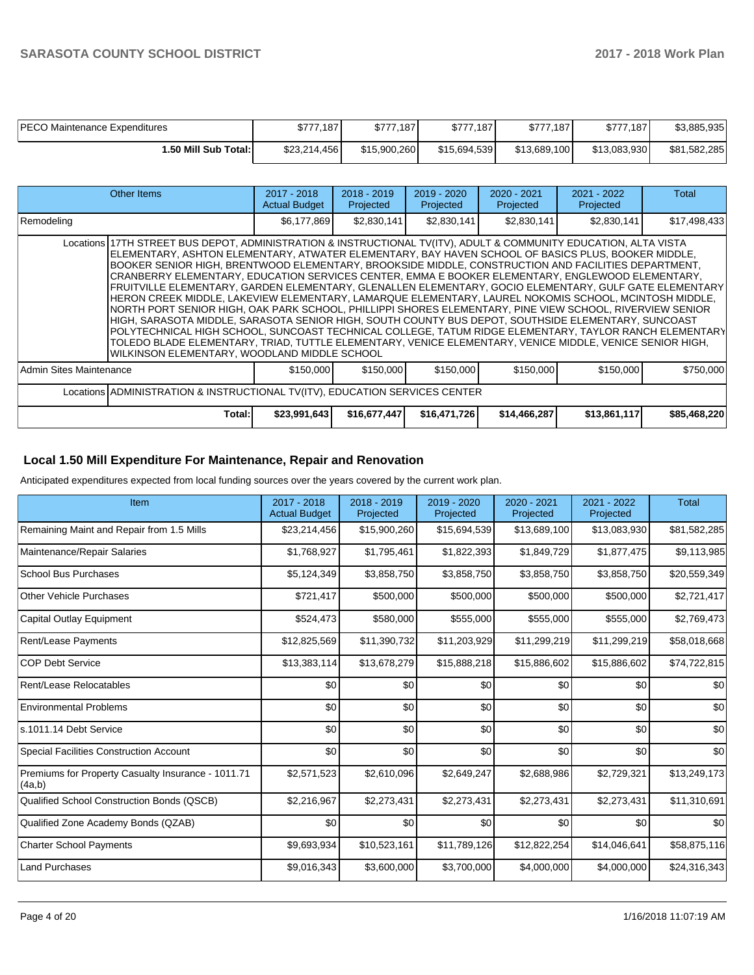| <b>PECO Maintenance Expenditures</b> | \$777,187    | \$777.187    | \$777,187    | \$777,187    | \$777.187    | \$3,885,935  |
|--------------------------------------|--------------|--------------|--------------|--------------|--------------|--------------|
| l.50 Mill Sub Total:I                | \$23,214,456 | \$15.900.260 | \$15,694,539 | \$13,689,100 | \$13.083.930 | \$81,582,285 |

|                                                                             | Other Items                                                                                                                                                                                                                                                                                                                                                                                                                                                                                                                                                                                                                                                                                                                                                                                                                                                                                                                                                                                                                                                                                                                                   | $2017 - 2018$<br><b>Actual Budget</b> | $2018 - 2019$<br>Projected | 2019 - 2020<br>Projected | $2020 - 2021$<br>Projected | 2021 - 2022<br>Projected | Total        |  |  |
|-----------------------------------------------------------------------------|-----------------------------------------------------------------------------------------------------------------------------------------------------------------------------------------------------------------------------------------------------------------------------------------------------------------------------------------------------------------------------------------------------------------------------------------------------------------------------------------------------------------------------------------------------------------------------------------------------------------------------------------------------------------------------------------------------------------------------------------------------------------------------------------------------------------------------------------------------------------------------------------------------------------------------------------------------------------------------------------------------------------------------------------------------------------------------------------------------------------------------------------------|---------------------------------------|----------------------------|--------------------------|----------------------------|--------------------------|--------------|--|--|
| Remodeling                                                                  |                                                                                                                                                                                                                                                                                                                                                                                                                                                                                                                                                                                                                                                                                                                                                                                                                                                                                                                                                                                                                                                                                                                                               | \$6,177,869                           | \$2,830,141                | \$2,830,141              | \$2,830,141                | \$2,830,141              | \$17,498,433 |  |  |
|                                                                             | Locations 17TH STREET BUS DEPOT, ADMINISTRATION & INSTRUCTIONAL TV(ITV), ADULT & COMMUNITY EDUCATION, ALTA VISTA<br>ELEMENTARY, ASHTON ELEMENTARY, ATWATER ELEMENTARY, BAY HAVEN SCHOOL OF BASICS PLUS, BOOKER MIDDLE,<br>BOOKER SENIOR HIGH, BRENTWOOD ELEMENTARY, BROOKSIDE MIDDLE, CONSTRUCTION AND FACILITIES DEPARTMENT,<br>CRANBERRY ELEMENTARY, EDUCATION SERVICES CENTER, EMMA E BOOKER ELEMENTARY, ENGLEWOOD ELEMENTARY,<br>FRUITVILLE ELEMENTARY, GARDEN ELEMENTARY, GLENALLEN ELEMENTARY, GOCIO ELEMENTARY, GULF GATE ELEMENTARY<br>HERON CREEK MIDDLE, LAKEVIEW ELEMENTARY, LAMARQUE ELEMENTARY, LAUREL NOKOMIS SCHOOL, MCINTOSH MIDDLE,<br>NORTH PORT SENIOR HIGH, OAK PARK SCHOOL, PHILLIPPI SHORES ELEMENTARY, PINE VIEW SCHOOL, RIVERVIEW SENIOR<br>HIGH, SARASOTA MIDDLE, SARASOTA SENIOR HIGH, SOUTH COUNTY BUS DEPOT, SOUTHSIDE ELEMENTARY, SUNCOAST<br>POLYTECHNICAL HIGH SCHOOL, SUNCOAST TECHNICAL COLLEGE, TATUM RIDGE ELEMENTARY, TAYLOR RANCH ELEMENTARY<br>TOLEDO BLADE ELEMENTARY, TRIAD, TUTTLE ELEMENTARY, VENICE ELEMENTARY, VENICE MIDDLE, VENICE SENIOR HIGH,<br>WILKINSON ELEMENTARY, WOODLAND MIDDLE SCHOOL |                                       |                            |                          |                            |                          |              |  |  |
| Admin Sites Maintenance                                                     |                                                                                                                                                                                                                                                                                                                                                                                                                                                                                                                                                                                                                                                                                                                                                                                                                                                                                                                                                                                                                                                                                                                                               | \$150,000                             | \$150,000                  | \$150,000                | \$150,000                  | \$150,000                | \$750,000    |  |  |
| Locations ADMINISTRATION & INSTRUCTIONAL TV(ITV), EDUCATION SERVICES CENTER |                                                                                                                                                                                                                                                                                                                                                                                                                                                                                                                                                                                                                                                                                                                                                                                                                                                                                                                                                                                                                                                                                                                                               |                                       |                            |                          |                            |                          |              |  |  |
|                                                                             | Total:                                                                                                                                                                                                                                                                                                                                                                                                                                                                                                                                                                                                                                                                                                                                                                                                                                                                                                                                                                                                                                                                                                                                        | \$23,991,643                          | \$16,677,447               | \$16,471,726             | \$14,466,287               | \$13,861,117             | \$85,468,220 |  |  |

## **Local 1.50 Mill Expenditure For Maintenance, Repair and Renovation**

Anticipated expenditures expected from local funding sources over the years covered by the current work plan.

| Item                                                         | 2017 - 2018<br><b>Actual Budget</b> | 2018 - 2019<br>Projected | 2019 - 2020<br>Projected | 2020 - 2021<br>Projected | 2021 - 2022<br>Projected | <b>Total</b> |
|--------------------------------------------------------------|-------------------------------------|--------------------------|--------------------------|--------------------------|--------------------------|--------------|
| Remaining Maint and Repair from 1.5 Mills                    | \$23,214,456                        | \$15,900,260             | \$15,694,539             | \$13,689,100             | \$13,083,930             | \$81,582,285 |
| Maintenance/Repair Salaries                                  | \$1,768,927                         | \$1,795,461              | \$1,822,393              | \$1,849,729              | \$1,877,475              | \$9,113,985  |
| <b>School Bus Purchases</b>                                  | \$5,124,349                         | \$3,858,750              | \$3,858,750              | \$3,858,750              | \$3,858,750              | \$20,559,349 |
| <b>Other Vehicle Purchases</b>                               | \$721,417                           | \$500,000                | \$500,000                | \$500,000                | \$500,000                | \$2,721,417  |
| <b>Capital Outlay Equipment</b>                              | \$524,473                           | \$580,000                | \$555,000                | \$555,000                | \$555,000                | \$2,769,473  |
| Rent/Lease Payments                                          | \$12,825,569                        | \$11,390,732             | \$11,203,929             | \$11,299,219             | \$11,299,219             | \$58,018,668 |
| <b>COP Debt Service</b>                                      | \$13,383,114                        | \$13,678,279             | \$15,888,218             | \$15,886,602             | \$15,886,602             | \$74,722,815 |
| Rent/Lease Relocatables                                      | \$0                                 | \$0                      | \$0                      | \$0                      | \$0                      | \$0          |
| <b>Environmental Problems</b>                                | \$0                                 | \$0                      | \$0                      | \$0                      | \$0                      | \$0          |
| s.1011.14 Debt Service                                       | \$0                                 | \$0                      | \$0                      | \$0                      | \$0                      | \$0          |
| <b>Special Facilities Construction Account</b>               | \$0                                 | \$0                      | \$0                      | \$0                      | \$0                      | \$0          |
| Premiums for Property Casualty Insurance - 1011.71<br>(4a,b) | \$2,571,523                         | \$2,610,096              | \$2,649,247              | \$2,688,986              | \$2,729,321              | \$13,249,173 |
| Qualified School Construction Bonds (QSCB)                   | \$2,216,967                         | \$2,273,431              | \$2,273,431              | \$2,273,431              | \$2,273,431              | \$11,310,691 |
| Qualified Zone Academy Bonds (QZAB)                          | \$0                                 | \$0                      | \$0                      | \$0                      | \$0                      | \$0          |
| <b>Charter School Payments</b>                               | \$9,693,934                         | \$10,523,161             | \$11,789,126             | \$12,822,254             | \$14,046,641             | \$58,875,116 |
| <b>Land Purchases</b>                                        | \$9,016,343                         | \$3,600,000              | \$3,700,000              | \$4,000,000              | \$4,000,000              | \$24,316,343 |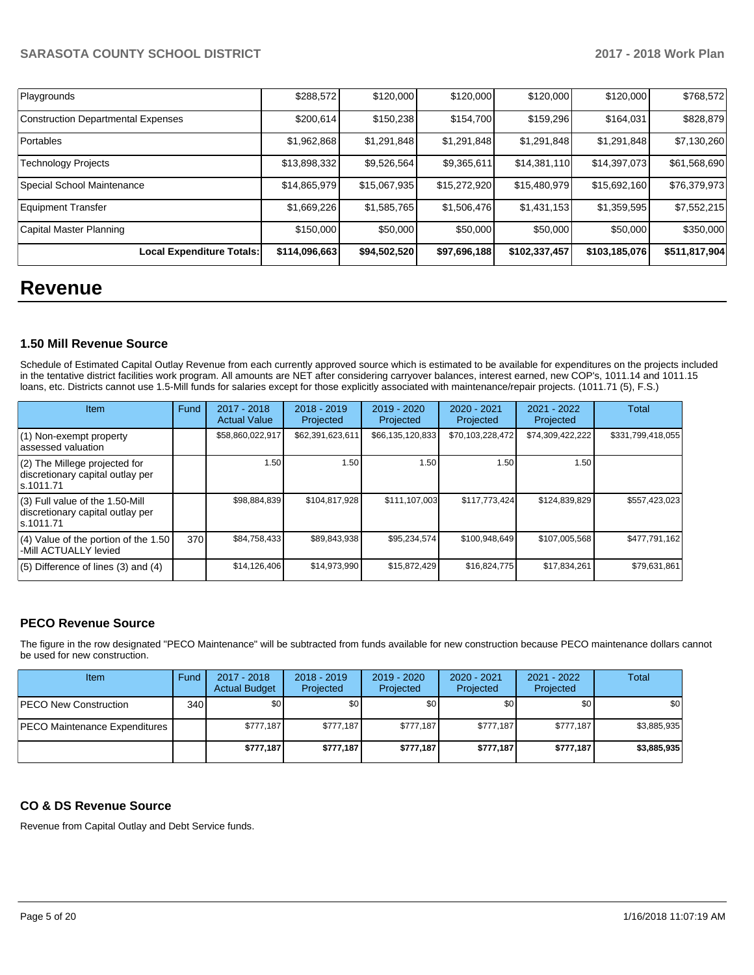| Playgrounds                               | \$288,572     | \$120,000    | \$120,000    | \$120,000     | \$120,000     | \$768,572     |
|-------------------------------------------|---------------|--------------|--------------|---------------|---------------|---------------|
| <b>Construction Departmental Expenses</b> | \$200,614     | \$150,238    | \$154,700    | \$159,296     | \$164,031     | \$828,879     |
| Portables                                 | \$1,962,868   | \$1,291,848  | \$1,291,848  | \$1,291,848   | \$1,291,848   | \$7,130,260   |
| Technology Projects                       | \$13,898,332  | \$9,526,564  | \$9,365,611  | \$14,381,110  | \$14,397,073  | \$61,568,690  |
| Special School Maintenance                | \$14,865,979  | \$15,067,935 | \$15,272,920 | \$15,480,979  | \$15,692,160  | \$76,379,973  |
| Equipment Transfer                        | \$1,669,226   | \$1,585,765  | \$1,506,476  | \$1,431,153   | \$1,359,595   | \$7,552,215   |
| Capital Master Planning                   | \$150,000     | \$50,000     | \$50,000     | \$50,000      | \$50,000      | \$350,000     |
| Local Expenditure Totals:                 | \$114,096,663 | \$94,502,520 | \$97,696,188 | \$102,337,457 | \$103,185,076 | \$511,817,904 |

## **Revenue**

## **1.50 Mill Revenue Source**

Schedule of Estimated Capital Outlay Revenue from each currently approved source which is estimated to be available for expenditures on the projects included in the tentative district facilities work program. All amounts are NET after considering carryover balances, interest earned, new COP's, 1011.14 and 1011.15 loans, etc. Districts cannot use 1.5-Mill funds for salaries except for those explicitly associated with maintenance/repair projects. (1011.71 (5), F.S.)

| <b>Item</b>                                                                         | Fund | 2017 - 2018<br><b>Actual Value</b> | $2018 - 2019$<br>Projected | $2019 - 2020$<br>Projected | $2020 - 2021$<br>Projected | 2021 - 2022<br>Projected | <b>Total</b>      |
|-------------------------------------------------------------------------------------|------|------------------------------------|----------------------------|----------------------------|----------------------------|--------------------------|-------------------|
| (1) Non-exempt property<br>lassessed valuation                                      |      | \$58,860,022,917                   | \$62,391,623,611           | \$66,135,120,833           | \$70,103,228,472           | \$74,309,422,222         | \$331,799,418,055 |
| $(2)$ The Millege projected for<br>discretionary capital outlay per<br>ls.1011.71   |      | 1.50                               | 1.50                       | 1.50                       | 1.50                       | 1.50                     |                   |
| $(3)$ Full value of the 1.50-Mill<br>discretionary capital outlay per<br>ls.1011.71 |      | \$98,884,839                       | \$104,817,928              | \$111,107,003              | \$117,773,424              | \$124,839,829            | \$557,423,023     |
| $(4)$ Value of the portion of the 1.50<br>-Mill ACTUALLY levied                     | 370  | \$84,758,433                       | \$89,843,938               | \$95,234,574               | \$100,948,649              | \$107,005,568            | \$477,791,162     |
| $(5)$ Difference of lines $(3)$ and $(4)$                                           |      | \$14,126,406                       | \$14.973.990               | \$15,872,429               | \$16,824,775               | \$17,834,261             | \$79,631,861      |

## **PECO Revenue Source**

The figure in the row designated "PECO Maintenance" will be subtracted from funds available for new construction because PECO maintenance dollars cannot be used for new construction.

| <b>Item</b>                   | Fund | 2017 - 2018<br><b>Actual Budget</b> | $2018 - 2019$<br>Projected | $2019 - 2020$<br>Projected | $2020 - 2021$<br>Projected | 2021 - 2022<br>Projected | <b>Total</b>     |
|-------------------------------|------|-------------------------------------|----------------------------|----------------------------|----------------------------|--------------------------|------------------|
| <b>PECO New Construction</b>  | 340  | \$0 <sub>1</sub>                    | \$0                        | \$0                        | \$0 <sub>1</sub>           | \$0                      | \$0 <sub>1</sub> |
| PECO Maintenance Expenditures |      | \$777.187                           | \$777.187                  | \$777.187                  | \$777.187                  | \$777.187                | \$3,885,935      |
|                               |      | \$777,187                           | \$777,187                  | \$777.187                  | \$777.187                  | \$777,187                | \$3,885,935      |

## **CO & DS Revenue Source**

Revenue from Capital Outlay and Debt Service funds.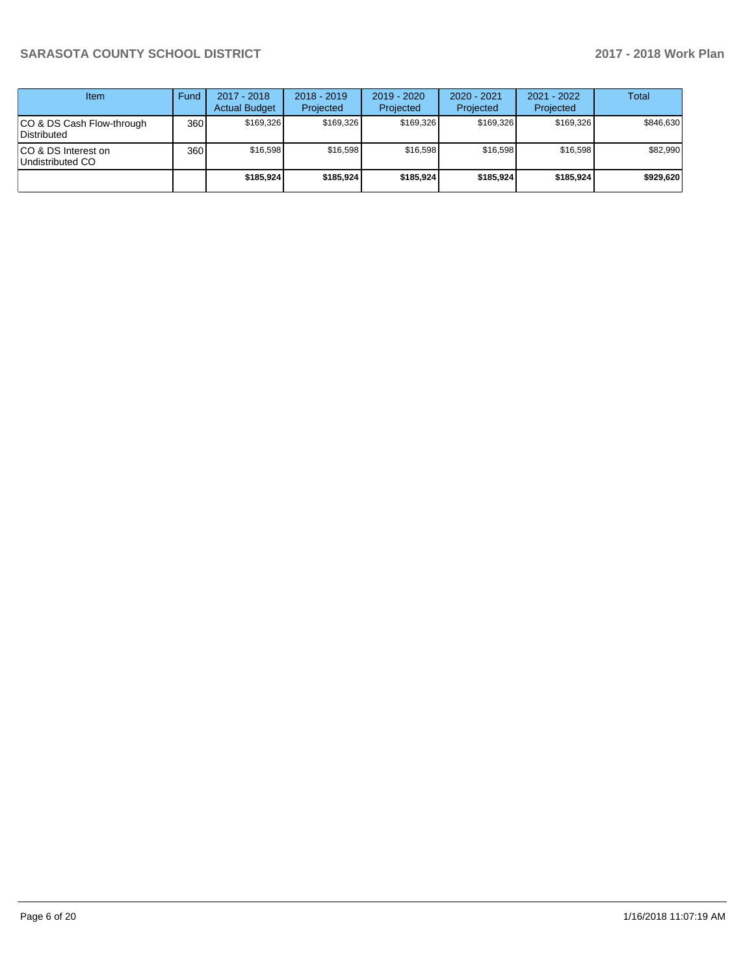| Item                                      | Fund | $2017 - 2018$<br><b>Actual Budget</b> | $2018 - 2019$<br>Projected | $2019 - 2020$<br>Projected | $2020 - 2021$<br>Projected | 2021 - 2022<br>Projected | <b>Total</b> |
|-------------------------------------------|------|---------------------------------------|----------------------------|----------------------------|----------------------------|--------------------------|--------------|
| ICO & DS Cash Flow-through<br>Distributed | 360  | \$169.326                             | \$169.326                  | \$169.326                  | \$169.326                  | \$169.326                | \$846.630    |
| ICO & DS Interest on<br>Undistributed CO  | 360  | \$16.598                              | \$16.598                   | \$16.598                   | \$16.598                   | \$16.598                 | \$82,990     |
|                                           |      | \$185,924                             | \$185,924                  | \$185,924                  | \$185.924                  | \$185.924                | \$929,620    |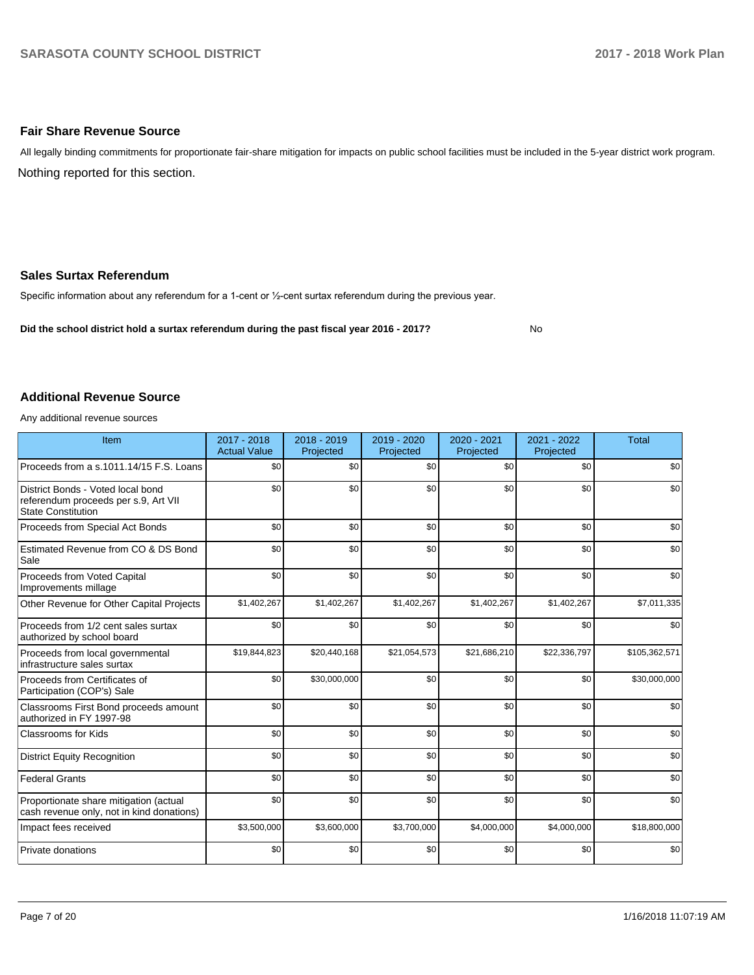### **Fair Share Revenue Source**

Nothing reported for this section. All legally binding commitments for proportionate fair-share mitigation for impacts on public school facilities must be included in the 5-year district work program.

### **Sales Surtax Referendum**

Specific information about any referendum for a 1-cent or 1/2-cent surtax referendum during the previous year.

**Did the school district hold a surtax referendum during the past fiscal year 2016 - 2017?**

No

#### **Additional Revenue Source**

Any additional revenue sources

| Item                                                                                                   | 2017 - 2018<br><b>Actual Value</b> | 2018 - 2019<br>Projected | 2019 - 2020<br>Projected | 2020 - 2021<br>Projected | 2021 - 2022<br>Projected | <b>Total</b>  |
|--------------------------------------------------------------------------------------------------------|------------------------------------|--------------------------|--------------------------|--------------------------|--------------------------|---------------|
| Proceeds from a s.1011.14/15 F.S. Loans                                                                | \$0                                | \$0                      | \$0                      | \$0                      | \$0                      | \$0           |
| District Bonds - Voted local bond<br>referendum proceeds per s.9, Art VII<br><b>State Constitution</b> | \$0                                | \$0                      | \$0                      | \$0                      | \$0                      | \$0           |
| Proceeds from Special Act Bonds                                                                        | \$0                                | \$0                      | \$0                      | \$0                      | \$0                      | \$0           |
| Estimated Revenue from CO & DS Bond<br>Sale                                                            | \$0                                | \$0                      | \$0                      | \$0                      | \$0                      | \$0           |
| Proceeds from Voted Capital<br>Improvements millage                                                    | \$0                                | \$0                      | \$0                      | \$0                      | \$0                      | \$0           |
| Other Revenue for Other Capital Projects                                                               | \$1,402,267                        | \$1,402,267              | \$1,402,267              | \$1,402,267              | \$1,402,267              | \$7,011,335   |
| Proceeds from 1/2 cent sales surtax<br>authorized by school board                                      | \$0                                | \$0                      | \$0                      | \$0                      | \$0                      | \$0           |
| Proceeds from local governmental<br>infrastructure sales surtax                                        | \$19,844,823                       | \$20,440,168             | \$21,054,573             | \$21,686,210             | \$22,336,797             | \$105,362,571 |
| Proceeds from Certificates of<br>Participation (COP's) Sale                                            | \$0                                | \$30,000,000             | \$0                      | \$0                      | \$0                      | \$30,000,000  |
| Classrooms First Bond proceeds amount<br>authorized in FY 1997-98                                      | \$0                                | \$0                      | \$0                      | \$0                      | \$0                      | \$0           |
| Classrooms for Kids                                                                                    | \$0                                | \$0                      | \$0                      | \$0                      | \$0                      | \$0           |
| <b>District Equity Recognition</b>                                                                     | \$0                                | \$0                      | \$0                      | \$0                      | \$0                      | \$0           |
| <b>Federal Grants</b>                                                                                  | \$0                                | \$0                      | \$0                      | \$0                      | \$0                      | \$0           |
| Proportionate share mitigation (actual<br>cash revenue only, not in kind donations)                    | \$0                                | \$0                      | \$0                      | \$0                      | \$0                      | \$0           |
| Impact fees received                                                                                   | \$3,500,000                        | \$3,600,000              | \$3,700,000              | \$4,000,000              | \$4,000,000              | \$18,800,000  |
| Private donations                                                                                      | \$0                                | \$0                      | \$0                      | \$0                      | \$0                      | \$0           |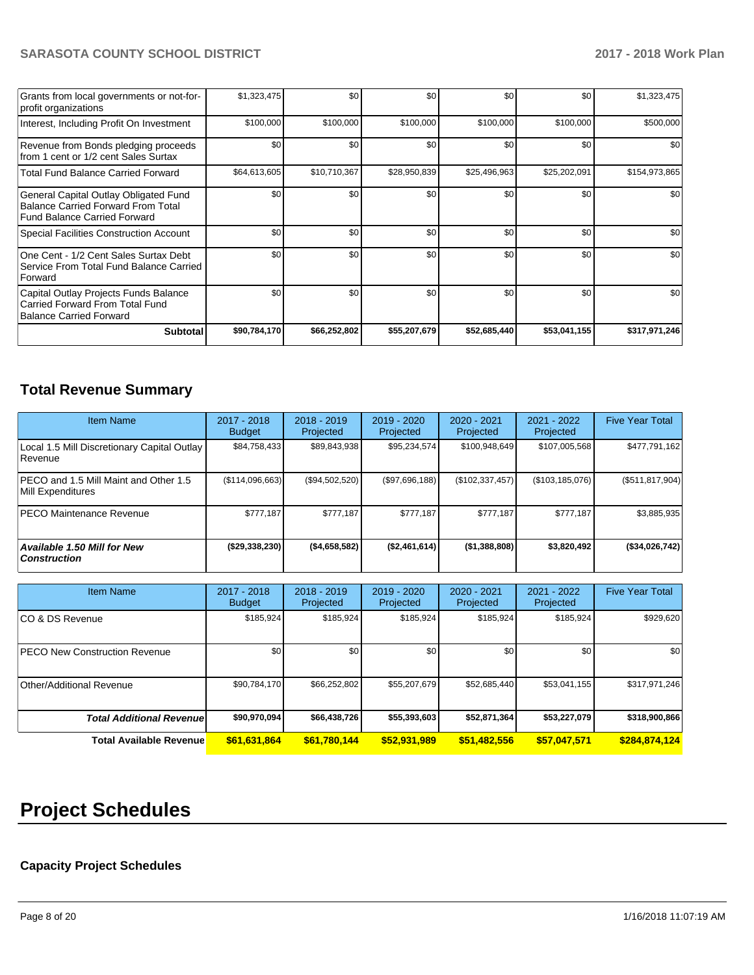| Grants from local governments or not-for-<br>profit organizations                                                         | \$1,323,475  | \$0 <sub>1</sub> | \$0          | \$0          | \$0          | \$1,323,475   |
|---------------------------------------------------------------------------------------------------------------------------|--------------|------------------|--------------|--------------|--------------|---------------|
| Interest, Including Profit On Investment                                                                                  | \$100,000    | \$100,000        | \$100,000    | \$100,000    | \$100,000    | \$500,000     |
| Revenue from Bonds pledging proceeds<br>from 1 cent or 1/2 cent Sales Surtax                                              | \$0          | \$0 <sub>1</sub> | \$0          | \$0          | \$0          | \$0           |
| <b>Total Fund Balance Carried Forward</b>                                                                                 | \$64,613,605 | \$10,710,367     | \$28,950,839 | \$25,496,963 | \$25,202,091 | \$154,973,865 |
| General Capital Outlay Obligated Fund<br><b>Balance Carried Forward From Total</b><br><b>Fund Balance Carried Forward</b> | \$0          | \$0 <sub>1</sub> | \$0          | \$0          | \$0          | \$0           |
| <b>Special Facilities Construction Account</b>                                                                            | \$0          | \$0              | \$0          | \$0          | \$0          | \$0           |
| One Cent - 1/2 Cent Sales Surtax Debt<br>Service From Total Fund Balance Carried<br>Forward                               | \$0          | \$0 <sub>1</sub> | \$0          | \$0          | \$0          | \$0           |
| Capital Outlay Projects Funds Balance<br>Carried Forward From Total Fund<br>Balance Carried Forward                       | \$0          | \$0              | \$0          | \$0          | \$0          | \$0           |
| <b>Subtotal</b>                                                                                                           | \$90,784,170 | \$66,252,802     | \$55,207,679 | \$52,685,440 | \$53,041,155 | \$317,971,246 |

## **Total Revenue Summary**

| <b>Item Name</b>                                           | 2017 - 2018<br><b>Budget</b> | $2018 - 2019$<br>Projected | $2019 - 2020$<br>Projected | 2020 - 2021<br>Projected | 2021 - 2022<br>Projected | <b>Five Year Total</b> |
|------------------------------------------------------------|------------------------------|----------------------------|----------------------------|--------------------------|--------------------------|------------------------|
| Local 1.5 Mill Discretionary Capital Outlay<br>l Revenue   | \$84,758,433                 | \$89,843,938               | \$95,234,574               | \$100,948,649            | \$107,005,568            | \$477,791,162          |
| PECO and 1.5 Mill Maint and Other 1.5<br>Mill Expenditures | (\$114,096,663)              | (\$94,502,520)             | (S97,696,188)              | (\$102, 337, 457)        | (\$103, 185, 076)        | (\$511, 817, 904)      |
| <b>PECO Maintenance Revenue</b>                            | \$777.187                    | \$777,187                  | \$777.187                  | \$777,187                | \$777,187                | \$3,885,935            |
| Available 1.50 Mill for New<br><b>Construction</b>         | ( \$29,338,230)              | ( \$4,658,582)             | (\$2,461,614)              | ( \$1,388,808)           | \$3,820,492              | (\$34,026,742)         |

| <b>Item Name</b>                      | 2017 - 2018<br><b>Budget</b> | $2018 - 2019$<br>Projected | 2019 - 2020<br>Projected | $2020 - 2021$<br>Projected | 2021 - 2022<br>Projected | <b>Five Year Total</b> |
|---------------------------------------|------------------------------|----------------------------|--------------------------|----------------------------|--------------------------|------------------------|
| ICO & DS Revenue                      | \$185,924                    | \$185,924                  | \$185,924                | \$185,924                  | \$185,924                | \$929,620              |
| <b>IPECO New Construction Revenue</b> | \$0                          | \$0                        | \$0                      | \$0                        | \$0                      | \$0                    |
| Other/Additional Revenue              | \$90,784,170                 | \$66,252,802               | \$55,207,679             | \$52,685,440               | \$53,041,155             | \$317,971,246          |
| <b>Total Additional Revenuel</b>      | \$90,970,094                 | \$66,438,726               | \$55,393,603             | \$52,871,364               | \$53,227,079             | \$318,900,866          |
| <b>Total Available Revenue</b>        | \$61,631,864                 | \$61,780,144               | \$52,931,989             | \$51,482,556               | \$57,047,571             | \$284,874,124          |

# **Project Schedules**

## **Capacity Project Schedules**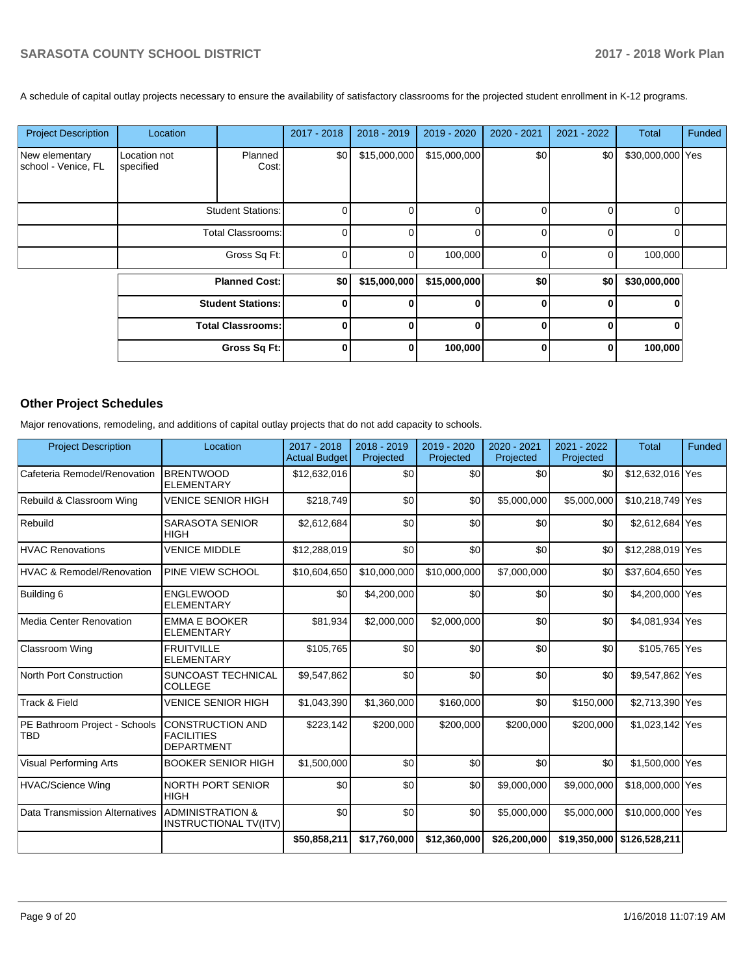A schedule of capital outlay projects necessary to ensure the availability of satisfactory classrooms for the projected student enrollment in K-12 programs.

| <b>Project Description</b>            | Location                  |                          | 2017 - 2018 | 2018 - 2019  | 2019 - 2020  | 2020 - 2021 | 2021 - 2022 | Total            | Funded |
|---------------------------------------|---------------------------|--------------------------|-------------|--------------|--------------|-------------|-------------|------------------|--------|
| New elementary<br>school - Venice, FL | Location not<br>specified | Planned<br>Cost:         | \$0         | \$15,000,000 | \$15,000,000 | \$0         | \$0         | \$30,000,000 Yes |        |
|                                       |                           | <b>Student Stations:</b> | 0           | 0            | 0            | 0           | $\Omega$    | 0                |        |
|                                       | <b>Total Classrooms:</b>  |                          | 0           | 0            |              | U           | $\Omega$    | $\Omega$         |        |
|                                       |                           | Gross Sq Ft:             | 0           |              | 100,000      | 0           | 0           | 100,000          |        |
|                                       |                           | <b>Planned Cost:</b>     | \$0         | \$15,000,000 | \$15,000,000 | \$0         | \$0         | \$30,000,000     |        |
|                                       |                           | <b>Student Stations:</b> |             | 0            | <sup>0</sup> | U           | $\Omega$    |                  |        |
|                                       |                           | <b>Total Classrooms:</b> |             | 0            | $\bf{0}$     | 0           | $\Omega$    |                  |        |
|                                       |                           | Gross Sq Ft:             | 0           | $\mathbf{0}$ | 100,000      | 0           | $\bf{0}$    | 100,000          |        |

## **Other Project Schedules**

Major renovations, remodeling, and additions of capital outlay projects that do not add capacity to schools.

| <b>Project Description</b>                  | Location                                                          | 2017 - 2018<br><b>Actual Budget</b> | 2018 - 2019<br>Projected | 2019 - 2020<br>Projected | $2020 - 2021$<br>Projected | 2021 - 2022<br>Projected | <b>Total</b>     | Funded |
|---------------------------------------------|-------------------------------------------------------------------|-------------------------------------|--------------------------|--------------------------|----------------------------|--------------------------|------------------|--------|
| Cafeteria Remodel/Renovation                | <b>BRENTWOOD</b><br><b>ELEMENTARY</b>                             | \$12,632,016                        | \$0                      | \$0                      | \$0                        | \$0                      | \$12,632,016 Yes |        |
| Rebuild & Classroom Wing                    | <b>VENICE SENIOR HIGH</b>                                         | \$218,749                           | \$0                      | \$0                      | \$5,000,000                | \$5,000,000              | \$10,218,749 Yes |        |
| Rebuild                                     | <b>SARASOTA SENIOR</b><br><b>HIGH</b>                             | \$2,612,684                         | \$0                      | \$0                      | \$0                        | \$0                      | \$2,612,684 Yes  |        |
| <b>HVAC Renovations</b>                     | <b>VENICE MIDDLE</b>                                              | \$12,288,019                        | \$0                      | \$0                      | \$0                        | \$0                      | \$12,288,019 Yes |        |
| <b>HVAC &amp; Remodel/Renovation</b>        | PINE VIEW SCHOOL                                                  | \$10.604.650                        | \$10.000.000             | \$10,000,000             | \$7,000,000                | \$0                      | \$37,604,650 Yes |        |
| Building 6                                  | <b>ENGLEWOOD</b><br><b>ELEMENTARY</b>                             | \$0                                 | \$4,200,000              | \$0                      | \$0                        | \$0                      | \$4,200,000 Yes  |        |
| <b>Media Center Renovation</b>              | <b>EMMA E BOOKER</b><br><b>ELEMENTARY</b>                         | \$81,934                            | \$2,000,000              | \$2,000,000              | \$0                        | \$0                      | \$4,081,934 Yes  |        |
| Classroom Wing                              | <b>FRUITVILLE</b><br><b>ELEMENTARY</b>                            | \$105,765                           | \$0                      | \$0                      | \$0                        | \$0                      | \$105,765 Yes    |        |
| <b>North Port Construction</b>              | <b>SUNCOAST TECHNICAL</b><br><b>COLLEGE</b>                       | \$9,547,862                         | \$0                      | \$0                      | \$0                        | \$0                      | \$9,547,862 Yes  |        |
| Track & Field                               | <b>VENICE SENIOR HIGH</b>                                         | \$1,043,390                         | \$1,360,000              | \$160,000                | \$0                        | \$150,000                | \$2,713,390 Yes  |        |
| PE Bathroom Project - Schools<br><b>TBD</b> | <b>CONSTRUCTION AND</b><br><b>FACILITIES</b><br><b>DEPARTMENT</b> | \$223,142                           | \$200,000                | \$200,000                | \$200,000                  | \$200,000                | \$1,023,142 Yes  |        |
| <b>Visual Performing Arts</b>               | <b>BOOKER SENIOR HIGH</b>                                         | \$1,500,000                         | \$0                      | \$0                      | \$0                        | \$0                      | \$1,500,000 Yes  |        |
| <b>HVAC/Science Wing</b>                    | <b>NORTH PORT SENIOR</b><br><b>HIGH</b>                           | \$0                                 | \$0                      | \$0                      | \$9,000,000                | \$9,000,000              | \$18,000,000 Yes |        |
| Data Transmission Alternatives              | <b>ADMINISTRATION &amp;</b><br><b>INSTRUCTIONAL TV(ITV)</b>       | \$0                                 | \$0                      | \$0                      | \$5,000,000                | \$5,000,000              | \$10,000,000 Yes |        |
|                                             |                                                                   | \$50,858,211                        | \$17,760,000             | \$12,360,000             | \$26,200,000               | \$19,350,000             | \$126,528,211    |        |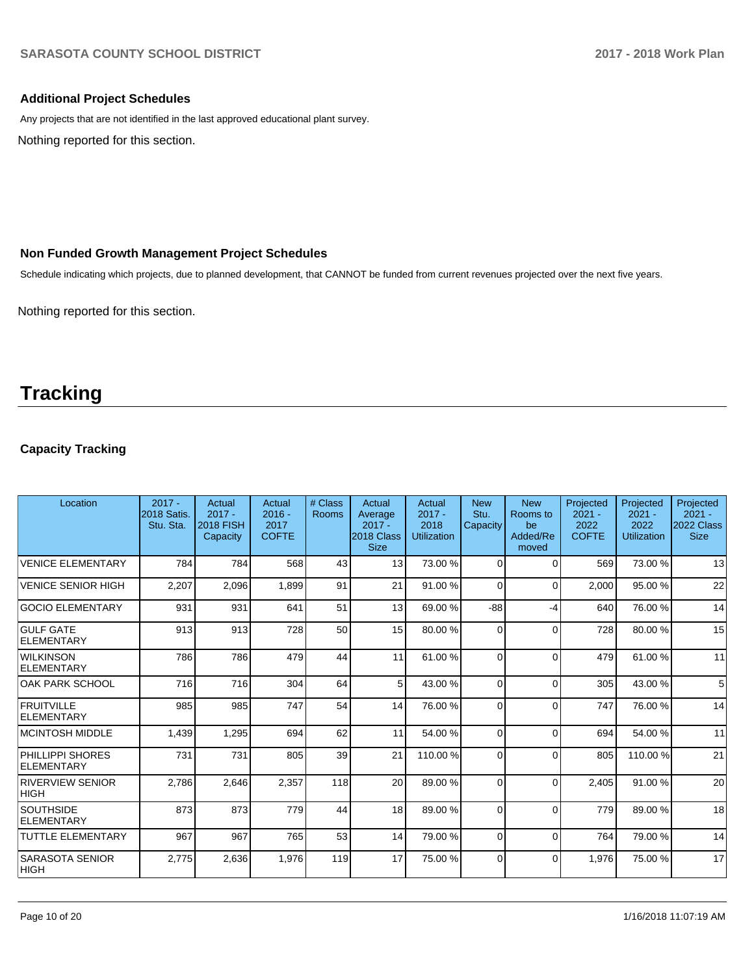## **Additional Project Schedules**

Any projects that are not identified in the last approved educational plant survey.

Nothing reported for this section.

## **Non Funded Growth Management Project Schedules**

Schedule indicating which projects, due to planned development, that CANNOT be funded from current revenues projected over the next five years.

Nothing reported for this section.

## **Tracking**

## **Capacity Tracking**

| Location                               | $2017 -$<br><b>2018 Satis.</b><br>Stu. Sta. | Actual<br>$2017 -$<br><b>2018 FISH</b><br>Capacity | Actual<br>$2016 -$<br>2017<br><b>COFTE</b> | # Class<br><b>Rooms</b> | Actual<br>Average<br>$2017 -$<br>2018 Class<br><b>Size</b> | Actual<br>$2017 -$<br>2018<br><b>Utilization</b> | <b>New</b><br>Stu.<br>Capacity | <b>New</b><br>Rooms to<br>be<br>Added/Re<br>moved | Projected<br>$2021 -$<br>2022<br><b>COFTE</b> | Projected<br>$2021 -$<br>2022<br><b>Utilization</b> | Projected<br>$2021 -$<br>2022 Class<br><b>Size</b> |
|----------------------------------------|---------------------------------------------|----------------------------------------------------|--------------------------------------------|-------------------------|------------------------------------------------------------|--------------------------------------------------|--------------------------------|---------------------------------------------------|-----------------------------------------------|-----------------------------------------------------|----------------------------------------------------|
| <b>VENICE ELEMENTARY</b>               | 784                                         | 784                                                | 568                                        | 43                      | 13                                                         | 73.00 %                                          | $\Omega$                       | $\Omega$                                          | 569                                           | 73.00 %                                             | 13                                                 |
| <b>VENICE SENIOR HIGH</b>              | 2,207                                       | 2,096                                              | 1,899                                      | 91                      | 21                                                         | 91.00 %                                          | 0                              | $\Omega$                                          | 2,000                                         | 95.00 %                                             | 22                                                 |
| <b>GOCIO ELEMENTARY</b>                | 931                                         | 931                                                | 641                                        | 51                      | 13                                                         | 69.00 %                                          | $-88$                          | -4                                                | 640                                           | 76.00 %                                             | 14                                                 |
| <b>GULF GATE</b><br><b>ELEMENTARY</b>  | 913                                         | 913                                                | 728                                        | 50                      | 15                                                         | 80.00 %                                          | 0                              | $\Omega$                                          | 728                                           | 80.00 %                                             | 15                                                 |
| <b>WILKINSON</b><br><b>ELEMENTARY</b>  | 786                                         | 786                                                | 479                                        | 44                      | 11                                                         | 61.00%                                           | 0                              | $\Omega$                                          | 479                                           | 61.00%                                              | 11                                                 |
| <b>OAK PARK SCHOOL</b>                 | 716                                         | 716                                                | 304                                        | 64                      | 5                                                          | 43.00 %                                          | $\Omega$                       | $\Omega$                                          | 305                                           | 43.00 %                                             | 5                                                  |
| <b>FRUITVILLE</b><br><b>ELEMENTARY</b> | 985                                         | 985                                                | 747                                        | 54                      | 14                                                         | 76.00 %                                          | 0                              | $\Omega$                                          | 747                                           | 76.00 %                                             | 14                                                 |
| <b>MCINTOSH MIDDLE</b>                 | 1,439                                       | 1,295                                              | 694                                        | 62                      | 11                                                         | 54.00 %                                          | 0                              | $\Omega$                                          | 694                                           | 54.00 %                                             | 11                                                 |
| PHILLIPPI SHORES<br><b>ELEMENTARY</b>  | 731                                         | 731                                                | 805                                        | 39                      | 21                                                         | 110.00%                                          | 0                              | $\Omega$                                          | 805                                           | 110.00%                                             | 21                                                 |
| <b>RIVERVIEW SENIOR</b><br><b>HIGH</b> | 2,786                                       | 2,646                                              | 2,357                                      | 118                     | 20                                                         | 89.00 %                                          | 0                              | $\Omega$                                          | 2,405                                         | 91.00 %                                             | 20                                                 |
| <b>SOUTHSIDE</b><br><b>ELEMENTARY</b>  | 873                                         | 873                                                | 779                                        | 44                      | 18                                                         | 89.00 %                                          | $\Omega$                       | $\Omega$                                          | 779                                           | 89.00 %                                             | 18                                                 |
| <b>TUTTLE ELEMENTARY</b>               | 967                                         | 967                                                | 765                                        | 53                      | 14                                                         | 79.00 %                                          | 0                              | $\Omega$                                          | 764                                           | 79.00 %                                             | 14                                                 |
| <b>SARASOTA SENIOR</b><br> HIGH        | 2,775                                       | 2,636                                              | 1.976                                      | 119                     | 17                                                         | 75.00 %                                          | 0                              | $\Omega$                                          | 1,976                                         | 75.00 %                                             | 17                                                 |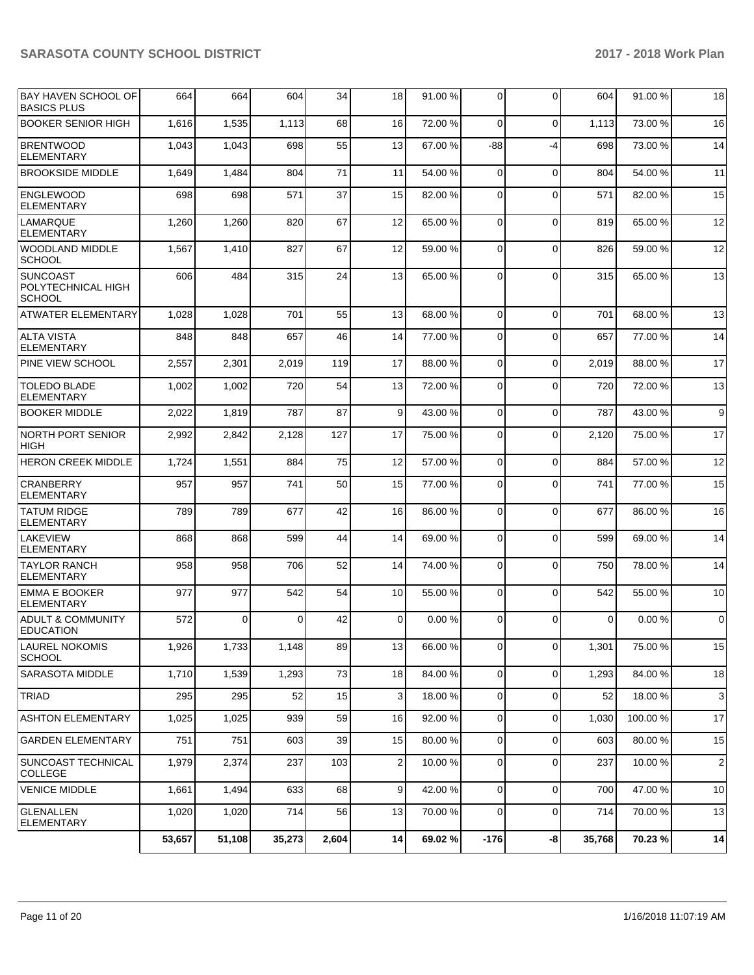| <b>BAY HAVEN SCHOOL OF</b><br><b>BASICS PLUS</b>       | 664    | 664    | 604      | 34    | 18              | 91.00 % | 0              | $\Omega$       | 604         | 91.00%  | 18               |
|--------------------------------------------------------|--------|--------|----------|-------|-----------------|---------|----------------|----------------|-------------|---------|------------------|
| <b>BOOKER SENIOR HIGH</b>                              | 1,616  | 1,535  | 1,113    | 68    | 16              | 72.00 % | 0              | $\Omega$       | 1,113       | 73.00 % | 16               |
| <b>BRENTWOOD</b><br><b>ELEMENTARY</b>                  | 1,043  | 1,043  | 698      | 55    | 13              | 67.00 % | -88            | $-4$           | 698         | 73.00 % | 14               |
| <b>BROOKSIDE MIDDLE</b>                                | 1,649  | 1,484  | 804      | 71    | 11              | 54.00 % | 0              | $\mathbf 0$    | 804         | 54.00 % | 11               |
| <b>ENGLEWOOD</b><br><b>ELEMENTARY</b>                  | 698    | 698    | 571      | 37    | 15              | 82.00 % | 0              | $\Omega$       | 571         | 82.00 % | 15               |
| LAMARQUE<br><b>ELEMENTARY</b>                          | 1,260  | 1,260  | 820      | 67    | 12              | 65.00 % | $\Omega$       | $\Omega$       | 819         | 65.00 % | 12               |
| <b>WOODLAND MIDDLE</b><br><b>SCHOOL</b>                | 1,567  | 1,410  | 827      | 67    | 12              | 59.00 % | $\overline{0}$ | $\Omega$       | 826         | 59.00 % | 12               |
| <b>SUNCOAST</b><br>POLYTECHNICAL HIGH<br><b>SCHOOL</b> | 606    | 484    | 315      | 24    | 13              | 65.00 % | 0              | $\Omega$       | 315         | 65.00 % | 13               |
| <b>ATWATER ELEMENTARY</b>                              | 1,028  | 1,028  | 701      | 55    | 13              | 68.00 % | $\Omega$       | $\Omega$       | 701         | 68.00 % | 13               |
| <b>ALTA VISTA</b><br><b>ELEMENTARY</b>                 | 848    | 848    | 657      | 46    | 14              | 77.00 % | 0              | $\Omega$       | 657         | 77.00 % | 14               |
| PINE VIEW SCHOOL                                       | 2,557  | 2,301  | 2.019    | 119   | 17              | 88.00 % | 0              | $\Omega$       | 2,019       | 88.00 % | 17               |
| <b>TOLEDO BLADE</b><br><b>ELEMENTARY</b>               | 1,002  | 1,002  | 720      | 54    | 13              | 72.00 % | 0              | $\Omega$       | 720         | 72.00 % | 13               |
| <b>BOOKER MIDDLE</b>                                   | 2,022  | 1,819  | 787      | 87    | 9               | 43.00 % | $\overline{0}$ | $\mathbf 0$    | 787         | 43.00 % | $\boldsymbol{9}$ |
| <b>NORTH PORT SENIOR</b><br><b>HIGH</b>                | 2,992  | 2,842  | 2,128    | 127   | 17              | 75.00 % | 0              | $\Omega$       | 2,120       | 75.00 % | 17               |
| <b>HERON CREEK MIDDLE</b>                              | 1,724  | 1,551  | 884      | 75    | 12              | 57.00 % | $\overline{0}$ | $\Omega$       | 884         | 57.00 % | 12               |
| CRANBERRY<br><b>ELEMENTARY</b>                         | 957    | 957    | 741      | 50    | 15              | 77.00 % | 0              | $\Omega$       | 741         | 77.00 % | 15               |
| <b>TATUM RIDGE</b><br><b>ELEMENTARY</b>                | 789    | 789    | 677      | 42    | 16              | 86.00 % | 0              | $\Omega$       | 677         | 86.00 % | 16               |
| <b>LAKEVIEW</b><br><b>ELEMENTARY</b>                   | 868    | 868    | 599      | 44    | 14              | 69.00 % | 0              | $\Omega$       | 599         | 69.00 % | 14               |
| <b>TAYLOR RANCH</b><br><b>ELEMENTARY</b>               | 958    | 958    | 706      | 52    | 14              | 74.00 % | $\overline{0}$ | $\Omega$       | 750         | 78.00 % | 14               |
| <b>EMMA E BOOKER</b><br><b>ELEMENTARY</b>              | 977    | 977    | 542      | 54    | 10              | 55.00 % | 0              | $\Omega$       | 542         | 55.00 % | 10               |
| <b>ADULT &amp; COMMUNITY</b><br><b>EDUCATION</b>       | 572    | 0      | $\Omega$ | 42    | 0               | 0.00%   | 0              | $\Omega$       | $\mathbf 0$ | 0.00%   | $\mathbf 0$      |
| <b>LAUREL NOKOMIS</b><br><b>SCHOOL</b>                 | 1,926  | 1,733  | 1,148    | 89    | 13 <sub>l</sub> | 66.00 % | $\overline{0}$ | $\overline{0}$ | 1,301       | 75.00 % | 15               |
| SARASOTA MIDDLE                                        | 1,710  | 1,539  | 1,293    | 73    | 18              | 84.00 % | $\overline{0}$ | $\Omega$       | 1,293       | 84.00 % | 18               |
| <b>TRIAD</b>                                           | 295    | 295    | 52       | 15    | 3               | 18.00 % | 0              | 0              | 52          | 18.00 % | $\mathbf{3}$     |
| <b>ASHTON ELEMENTARY</b>                               | 1,025  | 1,025  | 939      | 59    | 16              | 92.00 % | $\overline{0}$ | $\Omega$       | 1,030       | 100.00% | 17               |
| <b>GARDEN ELEMENTARY</b>                               | 751    | 751    | 603      | 39    | 15              | 80.00 % | 0              | 0              | 603         | 80.00 % | 15               |
| SUNCOAST TECHNICAL<br><b>COLLEGE</b>                   | 1,979  | 2,374  | 237      | 103   | 2               | 10.00 % | 0              | 0              | 237         | 10.00 % | $\overline{c}$   |
| <b>VENICE MIDDLE</b>                                   | 1,661  | 1,494  | 633      | 68    | 9               | 42.00 % | $\overline{0}$ | $\mathbf 0$    | 700         | 47.00 % | 10               |
| <b>GLENALLEN</b><br><b>ELEMENTARY</b>                  | 1,020  | 1,020  | 714      | 56    | 13              | 70.00 % | 0              | $\mathbf 0$    | 714         | 70.00 % | 13               |
|                                                        | 53,657 | 51,108 | 35,273   | 2,604 | 14              | 69.02%  | $-176$         | -8             | 35,768      | 70.23 % | 14               |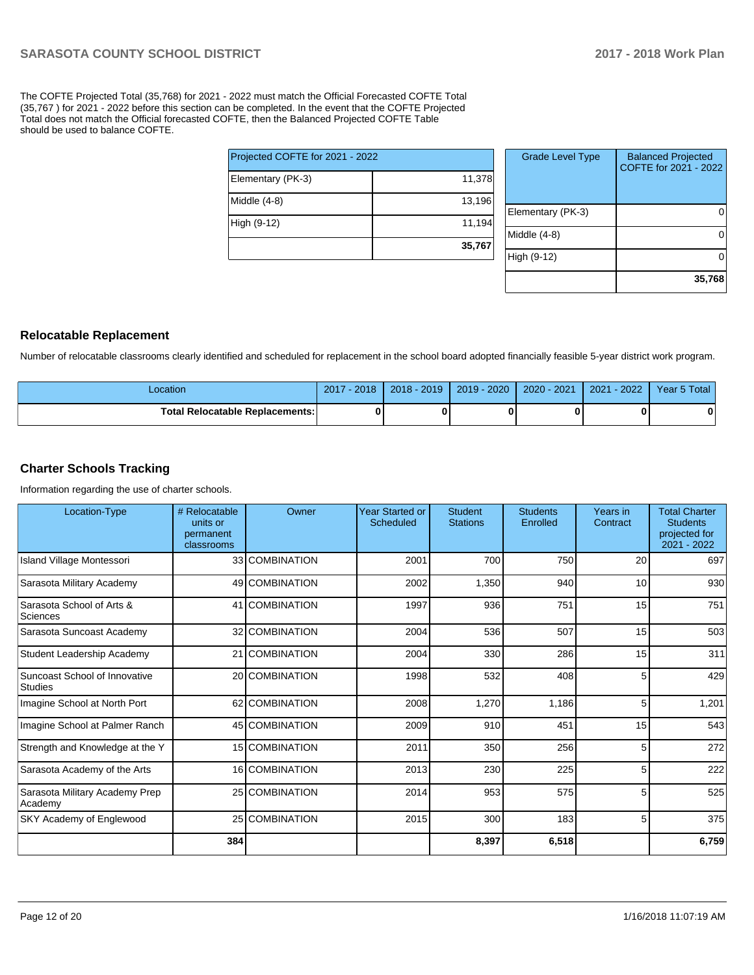The COFTE Projected Total (35,768) for 2021 - 2022 must match the Official Forecasted COFTE Total (35,767 ) for 2021 - 2022 before this section can be completed. In the event that the COFTE Projected Total does not match the Official forecasted COFTE, then the Balanced Projected COFTE Table should be used to balance COFTE.

| Projected COFTE for 2021 - 2022 |        |
|---------------------------------|--------|
| Elementary (PK-3)               | 11,378 |
| Middle (4-8)                    | 13,196 |
| High (9-12)                     | 11,194 |
|                                 | 35,767 |

| <b>Grade Level Type</b> | <b>Balanced Projected</b><br>COFTE for 2021 - 2022 |
|-------------------------|----------------------------------------------------|
| Elementary (PK-3)       |                                                    |
| Middle (4-8)            |                                                    |
| High (9-12)             |                                                    |
|                         | 35,768                                             |

### **Relocatable Replacement**

Number of relocatable classrooms clearly identified and scheduled for replacement in the school board adopted financially feasible 5-year district work program.

| Location                               | 2018<br>2017 | $2018 - 2019$ | $2019 - 2020$ | 2020 - 2021 | 2022<br>2021 | Year 5 Total |
|----------------------------------------|--------------|---------------|---------------|-------------|--------------|--------------|
| <b>Total Relocatable Replacements:</b> | 0            |               |               |             |              |              |

### **Charter Schools Tracking**

Information regarding the use of charter schools.

| Location-Type                             | # Relocatable<br>units or<br>permanent<br>classrooms | Owner          | <b>Year Started or</b><br>Scheduled | <b>Student</b><br><b>Stations</b> | <b>Students</b><br>Enrolled | Years in<br>Contract | <b>Total Charter</b><br><b>Students</b><br>projected for<br>2021 - 2022 |
|-------------------------------------------|------------------------------------------------------|----------------|-------------------------------------|-----------------------------------|-----------------------------|----------------------|-------------------------------------------------------------------------|
| Island Village Montessori                 |                                                      | 33 COMBINATION | 2001                                | 700                               | 750                         | 20                   | 697                                                                     |
| Sarasota Military Academy                 |                                                      | 49 COMBINATION | 2002                                | 1,350                             | 940                         | 10                   | 930                                                                     |
| Sarasota School of Arts &<br>Sciences     |                                                      | 41 COMBINATION | 1997                                | 936                               | 751                         | 15                   | 751                                                                     |
| Sarasota Suncoast Academy                 |                                                      | 32 COMBINATION | 2004                                | 536                               | 507                         | 15                   | 503                                                                     |
| Student Leadership Academy                |                                                      | 21 COMBINATION | 2004                                | 330                               | 286                         | 15                   | 311                                                                     |
| Suncoast School of Innovative<br>Studies  |                                                      | 20 COMBINATION | 1998                                | 532                               | 408                         | 5                    | 429                                                                     |
| Imagine School at North Port              |                                                      | 62 COMBINATION | 2008                                | 1,270                             | 1,186                       | 5                    | 1,201                                                                   |
| Imagine School at Palmer Ranch            |                                                      | 45 COMBINATION | 2009                                | 910                               | 451                         | 15                   | 543                                                                     |
| Strength and Knowledge at the Y           |                                                      | 15 COMBINATION | 2011                                | 350                               | 256                         | 5                    | 272                                                                     |
| Sarasota Academy of the Arts              |                                                      | 16 COMBINATION | 2013                                | 230                               | 225                         | 5                    | 222                                                                     |
| Sarasota Military Academy Prep<br>Academy |                                                      | 25 COMBINATION | 2014                                | 953                               | 575                         | 5                    | 525                                                                     |
| SKY Academy of Englewood                  |                                                      | 25 COMBINATION | 2015                                | 300                               | 183                         | 5                    | 375                                                                     |
|                                           | 384                                                  |                |                                     | 8,397                             | 6,518                       |                      | 6,759                                                                   |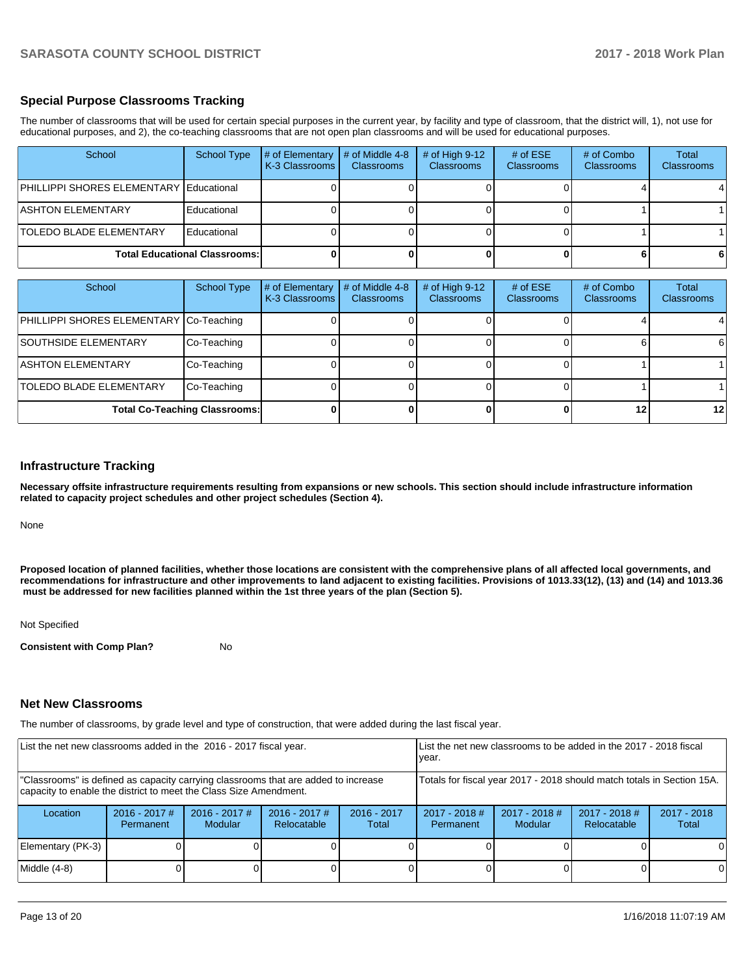## **Special Purpose Classrooms Tracking**

The number of classrooms that will be used for certain special purposes in the current year, by facility and type of classroom, that the district will, 1), not use for educational purposes, and 2), the co-teaching classrooms that are not open plan classrooms and will be used for educational purposes.

| School                                         | School Type | # of Elementary<br><b>K-3 Classrooms</b> | $\#$ of Middle 4-8<br><b>Classrooms</b> | # of High $9-12$<br><b>Classrooms</b> | # of $ESE$<br><b>Classrooms</b> | # of Combo<br><b>Classrooms</b> | Total<br><b>Classrooms</b> |
|------------------------------------------------|-------------|------------------------------------------|-----------------------------------------|---------------------------------------|---------------------------------|---------------------------------|----------------------------|
| <b>PHILLIPPI SHORES ELEMENTARY Educational</b> |             |                                          |                                         |                                       |                                 |                                 |                            |
| <b>ASHTON ELEMENTARY</b>                       | Educational |                                          |                                         |                                       |                                 |                                 |                            |
| <b>TOLEDO BLADE ELEMENTARY</b>                 | Educational |                                          |                                         |                                       |                                 |                                 |                            |
| <b>Total Educational Classrooms:</b>           |             |                                          |                                         |                                       |                                 |                                 |                            |

| School                                  | <b>School Type</b>                   | # of Elementary<br>K-3 Classrooms | # of Middle 4-8<br><b>Classrooms</b> | # of High $9-12$<br><b>Classrooms</b> | # of $ESE$<br><b>Classrooms</b> | # of Combo<br><b>Classrooms</b> | Total<br>Classrooms |
|-----------------------------------------|--------------------------------------|-----------------------------------|--------------------------------------|---------------------------------------|---------------------------------|---------------------------------|---------------------|
| PHILLIPPI SHORES ELEMENTARY Co-Teaching |                                      |                                   |                                      |                                       |                                 |                                 |                     |
| <b>SOUTHSIDE ELEMENTARY</b>             | Co-Teaching                          |                                   |                                      |                                       |                                 |                                 | 6                   |
| <b>ASHTON ELEMENTARY</b>                | Co-Teaching                          |                                   |                                      |                                       |                                 |                                 |                     |
| <b>TOLEDO BLADE ELEMENTARY</b>          | Co-Teaching                          |                                   |                                      |                                       |                                 |                                 |                     |
|                                         | <b>Total Co-Teaching Classrooms:</b> |                                   |                                      |                                       |                                 | 12                              | $12 \,$             |

#### **Infrastructure Tracking**

**Necessary offsite infrastructure requirements resulting from expansions or new schools. This section should include infrastructure information related to capacity project schedules and other project schedules (Section 4).** 

None

**Proposed location of planned facilities, whether those locations are consistent with the comprehensive plans of all affected local governments, and recommendations for infrastructure and other improvements to land adjacent to existing facilities. Provisions of 1013.33(12), (13) and (14) and 1013.36 must be addressed for new facilities planned within the 1st three years of the plan (Section 5).** 

Not Specified

**Consistent with Comp Plan?** No

### **Net New Classrooms**

The number of classrooms, by grade level and type of construction, that were added during the last fiscal year.

| List the net new classrooms added in the 2016 - 2017 fiscal year.                                                                                       |                              |                                   |                                |                        | List the net new classrooms to be added in the 2017 - 2018 fiscal<br>year. |                                                                        |                                |                        |
|---------------------------------------------------------------------------------------------------------------------------------------------------------|------------------------------|-----------------------------------|--------------------------------|------------------------|----------------------------------------------------------------------------|------------------------------------------------------------------------|--------------------------------|------------------------|
| "Classrooms" is defined as capacity carrying classrooms that are added to increase<br>capacity to enable the district to meet the Class Size Amendment. |                              |                                   |                                |                        |                                                                            | Totals for fiscal year 2017 - 2018 should match totals in Section 15A. |                                |                        |
| Location                                                                                                                                                | $2016 - 2017$ #<br>Permanent | $2016 - 2017$ #<br><b>Modular</b> | $2016 - 2017$ #<br>Relocatable | $2016 - 2017$<br>Total | $2017 - 2018$ #<br>Permanent                                               | $2017 - 2018$ #<br>Modular                                             | $2017 - 2018$ #<br>Relocatable | $2017 - 2018$<br>Total |
| Elementary (PK-3)                                                                                                                                       |                              |                                   |                                |                        |                                                                            |                                                                        |                                | ΩI                     |
| Middle (4-8)                                                                                                                                            |                              |                                   |                                |                        |                                                                            |                                                                        |                                | ΟI                     |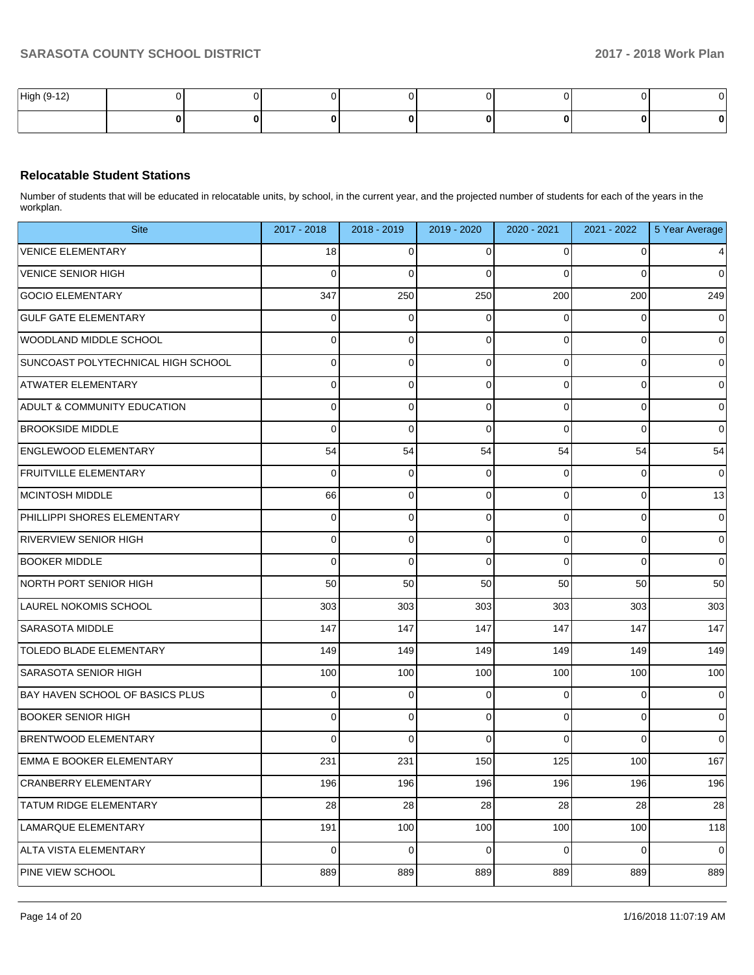| High (9-12) |  |  |  |  |
|-------------|--|--|--|--|
|             |  |  |  |  |

## **Relocatable Student Stations**

Number of students that will be educated in relocatable units, by school, in the current year, and the projected number of students for each of the years in the workplan.

| <b>Site</b>                            | 2017 - 2018 | 2018 - 2019 | 2019 - 2020 | 2020 - 2021 | 2021 - 2022    | 5 Year Average  |
|----------------------------------------|-------------|-------------|-------------|-------------|----------------|-----------------|
| <b>VENICE ELEMENTARY</b>               | 18          | 0           | 0           | 0           | 0              | $\vert 4 \vert$ |
| <b>VENICE SENIOR HIGH</b>              | 0           | 0           | $\Omega$    | 0           | 0              | $\overline{0}$  |
| <b>GOCIO ELEMENTARY</b>                | 347         | 250         | 250         | 200         | 200            | 249             |
| <b>GULF GATE ELEMENTARY</b>            | 0           | 0           | $\Omega$    | 0           | 0              | $\overline{0}$  |
| WOODLAND MIDDLE SCHOOL                 | 0           | 0           | $\Omega$    | 0           | 0              | $\overline{0}$  |
| SUNCOAST POLYTECHNICAL HIGH SCHOOL     | 0           | 0           | 0           | 0           | 0              | $\overline{0}$  |
| <b>ATWATER ELEMENTARY</b>              | 0           | 0           | 0           | 0           | 0              | $\overline{0}$  |
| <b>ADULT &amp; COMMUNITY EDUCATION</b> | 0           | 0           | 0           | 0           | 0              | $\overline{0}$  |
| <b>BROOKSIDE MIDDLE</b>                | 0           | 0           | $\Omega$    | 0           | 0              | $\overline{0}$  |
| <b>ENGLEWOOD ELEMENTARY</b>            | 54          | 54          | 54          | 54          | 54             | 54              |
| <b>FRUITVILLE ELEMENTARY</b>           | 0           | 0           | 0           | 0           | 0              | $\overline{0}$  |
| MCINTOSH MIDDLE                        | 66          | 0           | 0           | 0           | 0              | 13              |
| PHILLIPPI SHORES ELEMENTARY            | 0           | 0           | 0           | 0           | 0              | $\overline{0}$  |
| <b>RIVERVIEW SENIOR HIGH</b>           | 0           | 0           | 0           | 0           | 0              | $\overline{0}$  |
| <b>BOOKER MIDDLE</b>                   | 0           | 0           | $\Omega$    | 0           | 0              | $\overline{0}$  |
| NORTH PORT SENIOR HIGH                 | 50          | 50          | 50          | 50          | 50             | 50              |
| LAUREL NOKOMIS SCHOOL                  | 303         | 303         | 303         | 303         | 303            | 303             |
| <b>SARASOTA MIDDLE</b>                 | 147         | 147         | 147         | 147         | 147            | 147             |
| TOLEDO BLADE ELEMENTARY                | 149         | 149         | 149         | 149         | 149            | 149             |
| SARASOTA SENIOR HIGH                   | 100         | 100         | 100         | 100         | 100            | 100             |
| <b>BAY HAVEN SCHOOL OF BASICS PLUS</b> | 0           | 0           | $\mathbf 0$ | 0           | 0              | $\overline{0}$  |
| <b>BOOKER SENIOR HIGH</b>              | 0           | 0           | $\Omega$    | 0           | 0              | $\overline{0}$  |
| <b>BRENTWOOD ELEMENTARY</b>            | 0           | 0           | $\Omega$    | 0           | 0              | $\overline{0}$  |
| <b>EMMA E BOOKER ELEMENTARY</b>        | 231         | 231         | 150         | 125         | 100            | 167             |
| CRANBERRY ELEMENTARY                   | 196         | 196         | 196         | 196         | 196            | 196             |
| TATUM RIDGE ELEMENTARY                 | 28          | 28          | 28          | 28          | 28             | 28              |
| LAMARQUE ELEMENTARY                    | 191         | 100         | 100         | 100         | 100            | 118             |
| ALTA VISTA ELEMENTARY                  | 0           | 0           | $\mathbf 0$ | 0           | $\overline{0}$ | $\pmb{0}$       |
| PINE VIEW SCHOOL                       | 889         | 889         | 889         | 889         | 889            | 889             |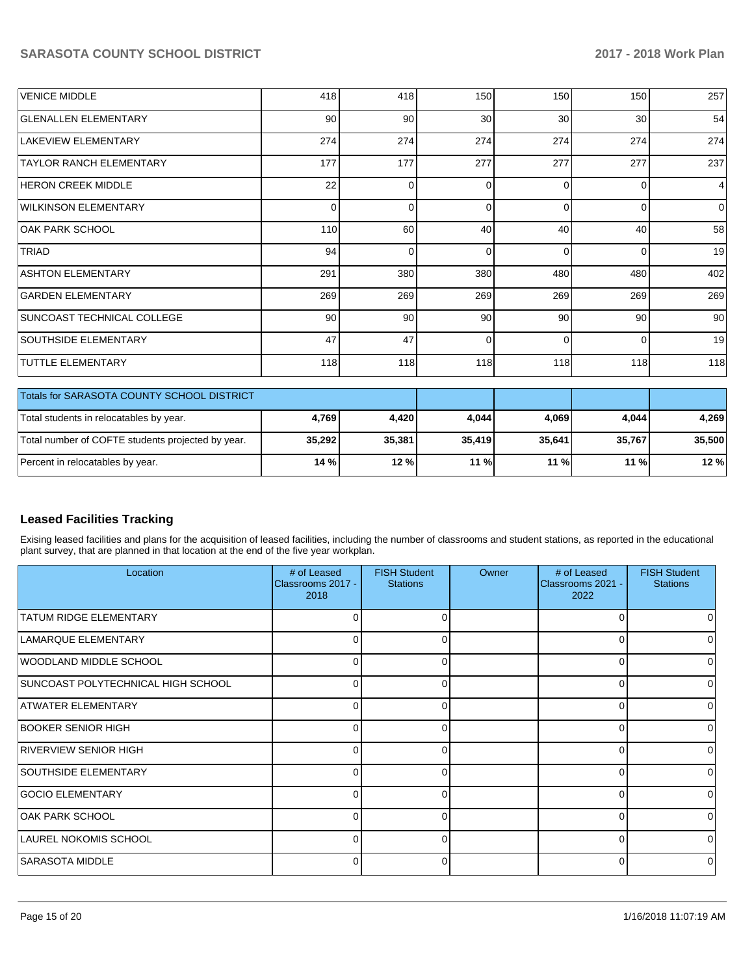| VENICE MIDDLE                              | 418      | 418 | 150             | 150      | 150      | 257            |
|--------------------------------------------|----------|-----|-----------------|----------|----------|----------------|
| <b>GLENALLEN ELEMENTARY</b>                | 90       | 90  | 30 <sup>°</sup> | 30       | 30       | 54             |
| LAKEVIEW ELEMENTARY                        | 274      | 274 | 274             | 274      | 274      | 274            |
| <b>TAYLOR RANCH ELEMENTARY</b>             | 177      | 177 | 277             | 277      | 277      | 237            |
| <b>HERON CREEK MIDDLE</b>                  | 22       |     | 0               | $\Omega$ | 0        | $\overline{4}$ |
| <b>WILKINSON ELEMENTARY</b>                | $\Omega$ |     | $\Omega$        | $\Omega$ | $\Omega$ | $\Omega$       |
| IOAK PARK SCHOOL                           | 110      | 60  | 40              | 40       | 40       | 58             |
| <b>TRIAD</b>                               | 94       |     | $\Omega$        | $\Omega$ | 0        | 19             |
| <b>ASHTON ELEMENTARY</b>                   | 291      | 380 | 380             | 480      | 480      | 402            |
| <b>GARDEN ELEMENTARY</b>                   | 269      | 269 | 269             | 269      | 269      | 269            |
| SUNCOAST TECHNICAL COLLEGE                 | 90       | 90  | 90              | 90       | 90       | 90             |
| <b>SOUTHSIDE ELEMENTARY</b>                | 47       | 47  | $\Omega$        | $\Omega$ | $\Omega$ | 19             |
| <b>TUTTLE ELEMENTARY</b>                   | 118      | 118 | 118             | 118      | 118      | 118            |
| Totals for SARASOTA COUNTY SCHOOL DISTRICT |          |     |                 |          |          |                |

| <b>Totals for SARASOTA COUNTY SCHOOL DISTRICT</b> |        |        |        |        |        |        |
|---------------------------------------------------|--------|--------|--------|--------|--------|--------|
| Total students in relocatables by year.           | 4.769  | 4.420  | 4.044  | 4.069  | 4,044  | 4,269  |
| Total number of COFTE students projected by year. | 35,292 | 35,381 | 35.419 | 35.641 | 35.767 | 35,500 |
| Percent in relocatables by year.                  | 14 %   | 12%    | $11\%$ | 11 %   | 11%    | 12 %   |

## **Leased Facilities Tracking**

Exising leased facilities and plans for the acquisition of leased facilities, including the number of classrooms and student stations, as reported in the educational plant survey, that are planned in that location at the end of the five year workplan.

| Location                           | # of Leased<br>Classrooms 2017 -<br>2018 | <b>FISH Student</b><br><b>Stations</b> | Owner | # of Leased<br>Classrooms 2021 -<br>2022 | <b>FISH Student</b><br><b>Stations</b> |
|------------------------------------|------------------------------------------|----------------------------------------|-------|------------------------------------------|----------------------------------------|
| <b>TATUM RIDGE ELEMENTARY</b>      | U                                        |                                        |       |                                          |                                        |
| LAMARQUE ELEMENTARY                | $\Omega$                                 | ი                                      |       |                                          |                                        |
| WOODLAND MIDDLE SCHOOL             | 0                                        |                                        |       | $\Omega$                                 |                                        |
| SUNCOAST POLYTECHNICAL HIGH SCHOOL | 0                                        |                                        |       | ∩                                        | <sup>0</sup>                           |
| ATWATER ELEMENTARY                 | 0                                        | o                                      |       | $\Omega$                                 |                                        |
| BOOKER SENIOR HIGH                 | $\overline{0}$                           |                                        |       | $\Omega$                                 |                                        |
| RIVERVIEW SENIOR HIGH              | $\Omega$                                 |                                        |       | ∩                                        | $\Omega$                               |
| <b>SOUTHSIDE ELEMENTARY</b>        | $\Omega$                                 | 0                                      |       | $\Omega$                                 |                                        |
| <b>GOCIO ELEMENTARY</b>            | $\Omega$                                 |                                        |       | $\Omega$                                 |                                        |
| OAK PARK SCHOOL                    | $\Omega$                                 |                                        |       | ∩                                        | <sup>0</sup>                           |
| LAUREL NOKOMIS SCHOOL              | $\Omega$                                 | 0                                      |       | $\Omega$                                 | U                                      |
| SARASOTA MIDDLE                    | $\Omega$                                 |                                        |       | $\Omega$                                 |                                        |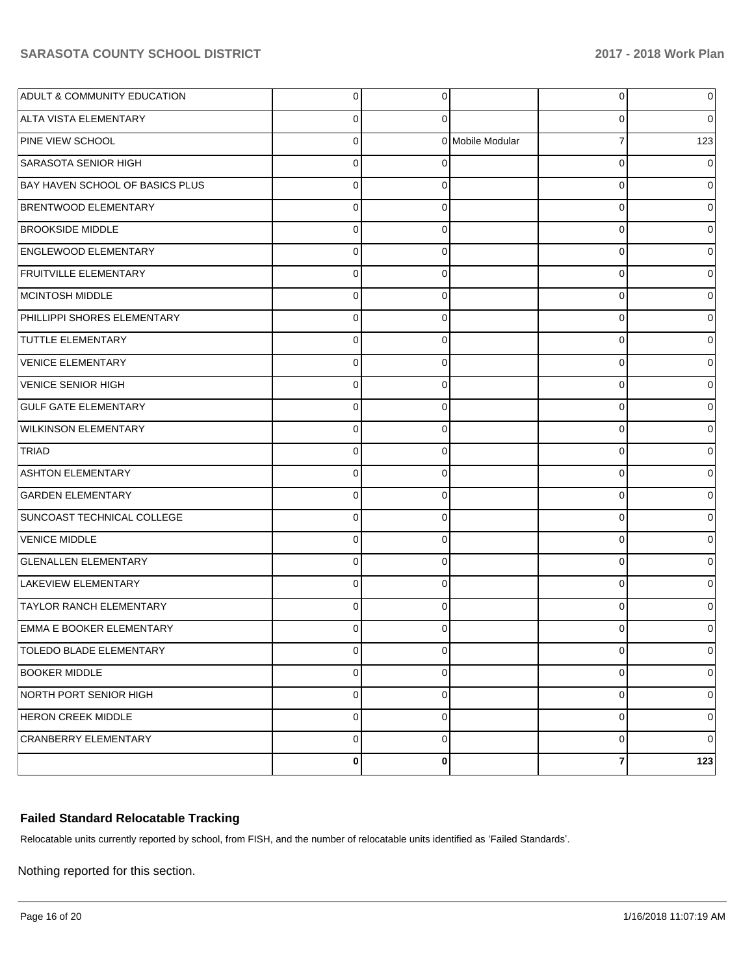| <b>ADULT &amp; COMMUNITY EDUCATION</b> | 0           | $\overline{0}$ |                  | $\overline{0}$          | 0           |
|----------------------------------------|-------------|----------------|------------------|-------------------------|-------------|
| ALTA VISTA ELEMENTARY                  | 0           | 0              |                  | 0                       | 0           |
| PINE VIEW SCHOOL                       | 0           |                | 0 Mobile Modular | $\overline{7}$          | 123         |
| <b>SARASOTA SENIOR HIGH</b>            | 0           | 0              |                  | $\mathbf 0$             | 0           |
| BAY HAVEN SCHOOL OF BASICS PLUS        | 0           | 0              |                  | 0                       | 0           |
| <b>BRENTWOOD ELEMENTARY</b>            | 0           | 0              |                  | 0                       | 0           |
| <b>BROOKSIDE MIDDLE</b>                | 0           | 0              |                  | 0                       | 0           |
| ENGLEWOOD ELEMENTARY                   | 0           | 0              |                  | 0                       | 0           |
| <b>FRUITVILLE ELEMENTARY</b>           | 0           | 0              |                  | 0                       | 0           |
| MCINTOSH MIDDLE                        | 0           | 0              |                  | 0                       | 0           |
| PHILLIPPI SHORES ELEMENTARY            | 0           | 0              |                  | 0                       | 0           |
| <b>TUTTLE ELEMENTARY</b>               | 0           | 0              |                  | 0                       | 0           |
| <b>VENICE ELEMENTARY</b>               | 0           | 0              |                  | 0                       | 0           |
| VENICE SENIOR HIGH                     | 0           | 0              |                  | 0                       | 0           |
| <b>GULF GATE ELEMENTARY</b>            | 0           | 0              |                  | 0                       | 0           |
| <b>WILKINSON ELEMENTARY</b>            | 0           | 0              |                  | 0                       | 0           |
| TRIAD                                  | 0           | 0              |                  | 0                       | 0           |
| <b>ASHTON ELEMENTARY</b>               | 0           | 0              |                  | 0                       | 0           |
| <b>GARDEN ELEMENTARY</b>               | 0           | 0              |                  | $\mathbf 0$             | 0           |
| SUNCOAST TECHNICAL COLLEGE             | 0           | 0              |                  | 0                       | 0           |
| <b>VENICE MIDDLE</b>                   | 0           | 0              |                  | 0                       | 0           |
| <b>GLENALLEN ELEMENTARY</b>            | 0           | 0              |                  | 0                       | 0           |
| LAKEVIEW ELEMENTARY                    | 0           | 0              |                  | 0                       | 0           |
| <b>TAYLOR RANCH ELEMENTARY</b>         | 0           | 0              |                  | 0                       | 0           |
| <b>EMMA E BOOKER ELEMENTARY</b>        |             | 0              |                  | 0                       |             |
| TOLEDO BLADE ELEMENTARY                | $\mathbf 0$ | $\mathbf 0$    |                  | $\overline{0}$          | 0           |
| <b>BOOKER MIDDLE</b>                   | 0           | 0              |                  | 0                       | 0           |
| NORTH PORT SENIOR HIGH                 | 0           | 0              |                  | 0                       | 0           |
| <b>HERON CREEK MIDDLE</b>              | 0           | 0              |                  | 0                       | 0           |
| CRANBERRY ELEMENTARY                   | 0           | 0              |                  | 0                       | $\mathbf 0$ |
|                                        | 0           | 0              |                  | $\overline{\mathbf{r}}$ | $123$       |

## **Failed Standard Relocatable Tracking**

Relocatable units currently reported by school, from FISH, and the number of relocatable units identified as 'Failed Standards'.

Nothing reported for this section.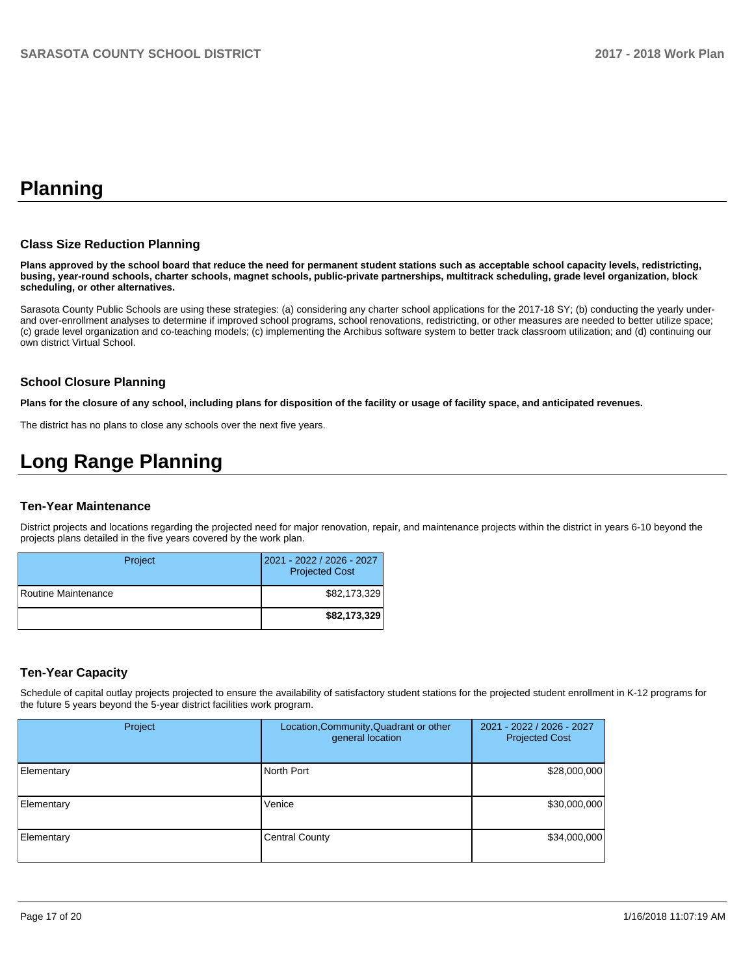## **Planning**

#### **Class Size Reduction Planning**

**Plans approved by the school board that reduce the need for permanent student stations such as acceptable school capacity levels, redistricting, busing, year-round schools, charter schools, magnet schools, public-private partnerships, multitrack scheduling, grade level organization, block scheduling, or other alternatives.**

Sarasota County Public Schools are using these strategies: (a) considering any charter school applications for the 2017-18 SY; (b) conducting the yearly underand over-enrollment analyses to determine if improved school programs, school renovations, redistricting, or other measures are needed to better utilize space; (c) grade level organization and co-teaching models; (c) implementing the Archibus software system to better track classroom utilization; and (d) continuing our own district Virtual School.

#### **School Closure Planning**

**Plans for the closure of any school, including plans for disposition of the facility or usage of facility space, and anticipated revenues.** 

The district has no plans to close any schools over the next five years.

# **Long Range Planning**

### **Ten-Year Maintenance**

District projects and locations regarding the projected need for major renovation, repair, and maintenance projects within the district in years 6-10 beyond the projects plans detailed in the five years covered by the work plan.

| Project             | 2021 - 2022 / 2026 - 2027<br><b>Projected Cost</b> |
|---------------------|----------------------------------------------------|
| Routine Maintenance | \$82,173,329                                       |
|                     | \$82,173,329                                       |

### **Ten-Year Capacity**

Schedule of capital outlay projects projected to ensure the availability of satisfactory student stations for the projected student enrollment in K-12 programs for the future 5 years beyond the 5-year district facilities work program.

| Project    | Location, Community, Quadrant or other<br>general location | 2021 - 2022 / 2026 - 2027<br><b>Projected Cost</b> |
|------------|------------------------------------------------------------|----------------------------------------------------|
| Elementary | North Port                                                 | \$28,000,000                                       |
| Elementary | Venice                                                     | \$30,000,000                                       |
| Elementary | <b>Central County</b>                                      | \$34,000,000                                       |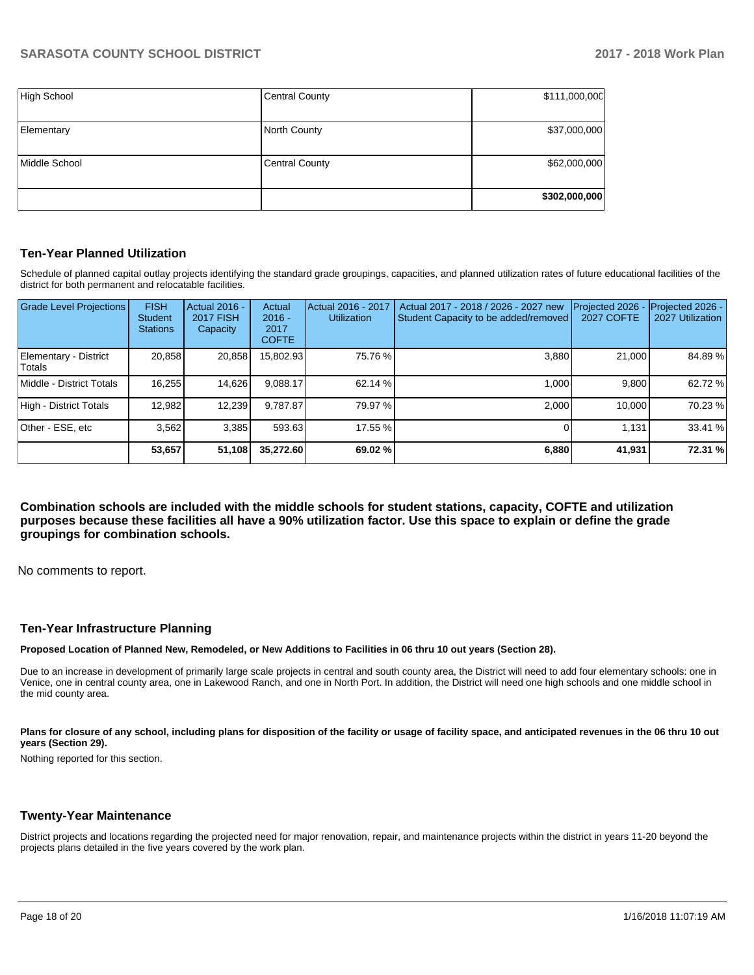| High School   | <b>Central County</b> | \$111,000,000 |
|---------------|-----------------------|---------------|
| Elementary    | <b>North County</b>   | \$37,000,000  |
| Middle School | <b>Central County</b> | \$62,000,000  |
|               |                       | \$302,000,000 |

### **Ten-Year Planned Utilization**

Schedule of planned capital outlay projects identifying the standard grade groupings, capacities, and planned utilization rates of future educational facilities of the district for both permanent and relocatable facilities.

| <b>Grade Level Projections</b>  | <b>FISH</b><br><b>Student</b><br><b>Stations</b> | Actual 2016 -<br><b>2017 FISH</b><br>Capacity | Actual<br>$2016 -$<br>2017<br><b>COFTE</b> | Actual 2016 - 2017<br><b>Utilization</b> | Actual 2017 - 2018 / 2026 - 2027 new<br>Student Capacity to be added/removed | Projected 2026<br><b>2027 COFTE</b> | Projected 2026 -<br>2027 Utilization |
|---------------------------------|--------------------------------------------------|-----------------------------------------------|--------------------------------------------|------------------------------------------|------------------------------------------------------------------------------|-------------------------------------|--------------------------------------|
| Elementary - District<br>Totals | 20.858                                           | 20,858                                        | 15,802.93                                  | 75.76 %                                  | 3.880                                                                        | 21,000                              | 84.89%                               |
| Middle - District Totals        | 16,255                                           | 14,626                                        | 9.088.17                                   | 62.14 %                                  | 1.000                                                                        | 9.800                               | 62.72 %                              |
| High - District Totals          | 12.982                                           | 12,239                                        | 9.787.87                                   | 79.97 %                                  | 2.000                                                                        | 10.000                              | 70.23 %                              |
| Other - ESE, etc                | 3.562                                            | 3.385                                         | 593.63                                     | 17.55 %                                  |                                                                              | 1.131                               | 33.41 %                              |
|                                 | 53,657                                           | 51,108                                        | 35,272.60                                  | 69.02 %                                  | 6,880                                                                        | 41,931                              | 72.31 %                              |

**Combination schools are included with the middle schools for student stations, capacity, COFTE and utilization purposes because these facilities all have a 90% utilization factor. Use this space to explain or define the grade groupings for combination schools.** 

No comments to report.

#### **Ten-Year Infrastructure Planning**

**Proposed Location of Planned New, Remodeled, or New Additions to Facilities in 06 thru 10 out years (Section 28).**

Due to an increase in development of primarily large scale projects in central and south county area, the District will need to add four elementary schools: one in Venice, one in central county area, one in Lakewood Ranch, and one in North Port. In addition, the District will need one high schools and one middle school in the mid county area.

Plans for closure of any school, including plans for disposition of the facility or usage of facility space, and anticipated revenues in the 06 thru 10 out **years (Section 29).**

Nothing reported for this section.

#### **Twenty-Year Maintenance**

District projects and locations regarding the projected need for major renovation, repair, and maintenance projects within the district in years 11-20 beyond the projects plans detailed in the five years covered by the work plan.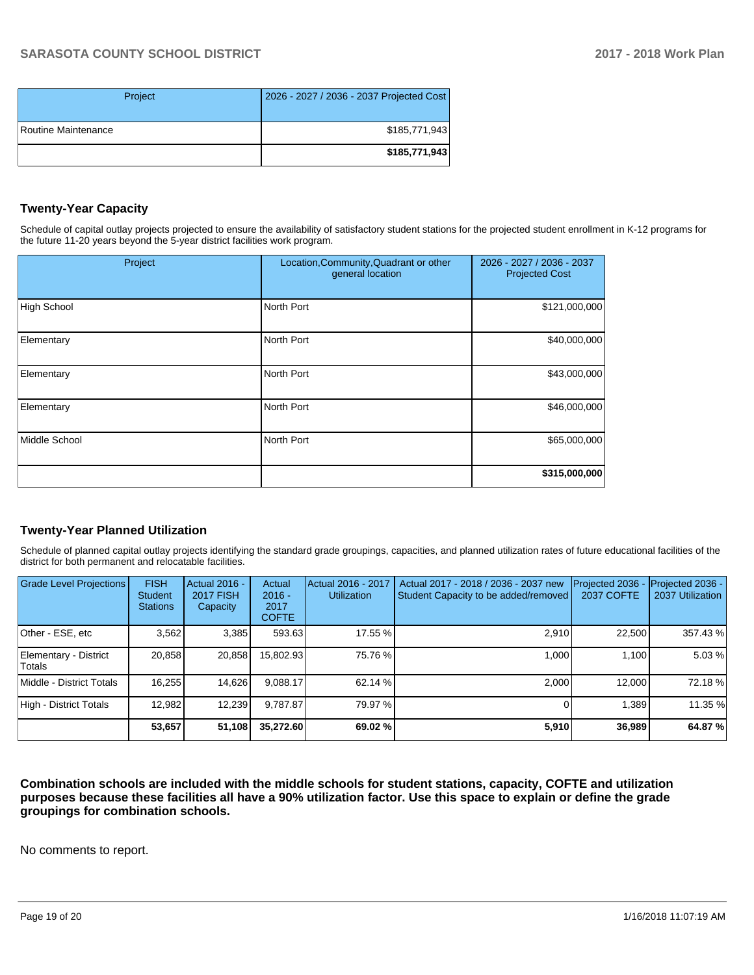| Project             | 2026 - 2027 / 2036 - 2037 Projected Cost |
|---------------------|------------------------------------------|
| Routine Maintenance | \$185,771,943                            |
|                     | \$185,771,943                            |

## **Twenty-Year Capacity**

Schedule of capital outlay projects projected to ensure the availability of satisfactory student stations for the projected student enrollment in K-12 programs for the future 11-20 years beyond the 5-year district facilities work program.

| Project            | Location, Community, Quadrant or other<br>general location | 2026 - 2027 / 2036 - 2037<br><b>Projected Cost</b> |  |
|--------------------|------------------------------------------------------------|----------------------------------------------------|--|
| <b>High School</b> | North Port                                                 | \$121,000,000                                      |  |
| Elementary         | North Port                                                 | \$40,000,000                                       |  |
| Elementary         | North Port                                                 | \$43,000,000                                       |  |
| Elementary         | North Port                                                 | \$46,000,000                                       |  |
| Middle School      | North Port                                                 | \$65,000,000                                       |  |
|                    |                                                            | \$315,000,000                                      |  |

### **Twenty-Year Planned Utilization**

Schedule of planned capital outlay projects identifying the standard grade groupings, capacities, and planned utilization rates of future educational facilities of the district for both permanent and relocatable facilities.

| <b>Grade Level Projections</b>  | <b>FISH</b><br><b>Student</b><br><b>Stations</b> | Actual 2016 -<br><b>2017 FISH</b><br>Capacity | Actual<br>$2016 -$<br>2017<br><b>COFTE</b> | Actual 2016 - 2017<br><b>Utilization</b> | Actual 2017 - 2018 / 2036 - 2037 new<br>Student Capacity to be added/removed | Projected 2036 -<br><b>2037 COFTE</b> | Projected 2036 -<br>2037 Utilization |
|---------------------------------|--------------------------------------------------|-----------------------------------------------|--------------------------------------------|------------------------------------------|------------------------------------------------------------------------------|---------------------------------------|--------------------------------------|
| Other - ESE, etc                | 3.562                                            | 3,385                                         | 593.63                                     | 17.55 %                                  | 2.910                                                                        | 22.500                                | 357.43 %                             |
| Elementary - District<br>Totals | 20.858                                           | 20,858                                        | 15.802.93                                  | 75.76 %                                  | 1.000                                                                        | 1,100                                 | 5.03%                                |
| Middle - District Totals        | 16.255                                           | 14,626                                        | 9.088.17                                   | 62.14 %                                  | 2.000                                                                        | 12.000                                | 72.18 %                              |
| High - District Totals          | 12.982                                           | 12,239                                        | 9.787.87                                   | 79.97 %                                  |                                                                              | 1.389                                 | 11.35 %                              |
|                                 | 53,657                                           | 51,108                                        | 35,272.60                                  | 69.02 %                                  | 5,910                                                                        | 36,989                                | 64.87%                               |

**Combination schools are included with the middle schools for student stations, capacity, COFTE and utilization purposes because these facilities all have a 90% utilization factor. Use this space to explain or define the grade groupings for combination schools.** 

No comments to report.